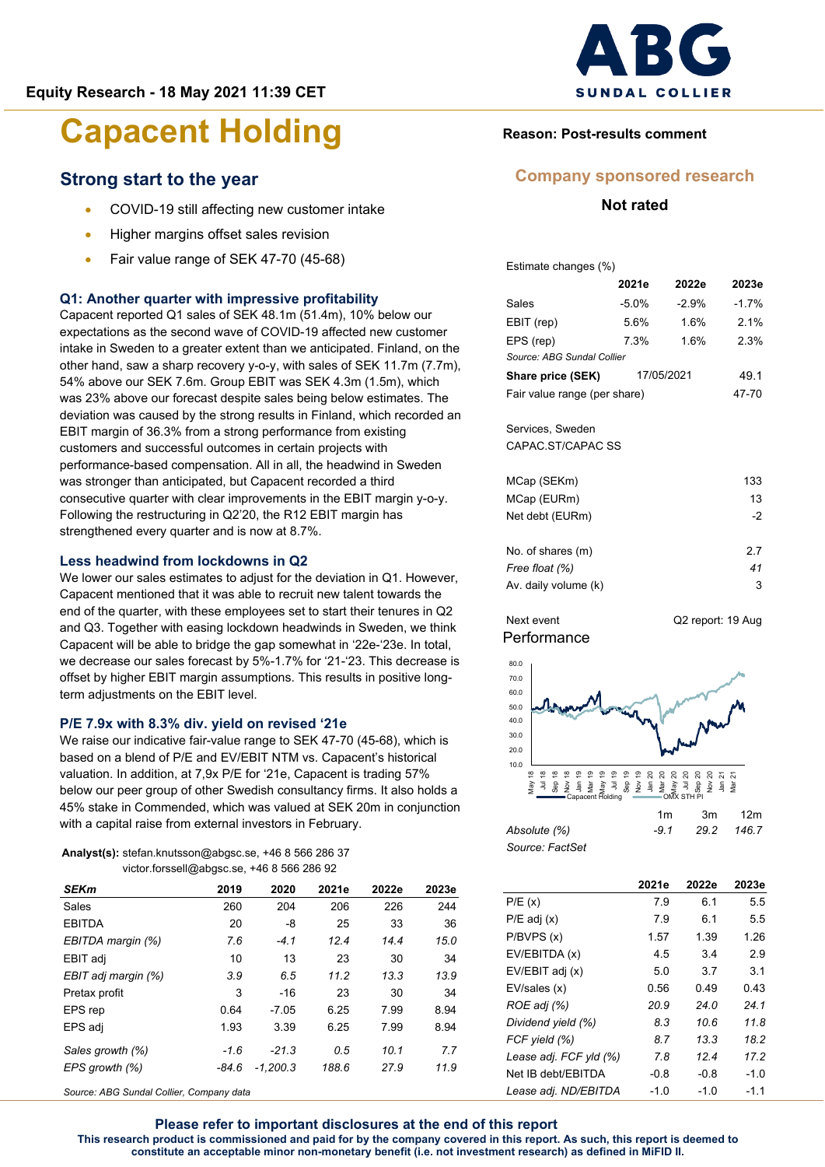## **Strong start to the year**

- COVID-19 still affecting new customer intake
- Higher margins offset sales revision
- Fair value range of SEK 47-70 (45-68)

### **Q1: Another quarter with impressive profitability**

Capacent reported Q1 sales of SEK 48.1m (51.4m), 10% below our expectations as the second wave of COVID-19 affected new customer intake in Sweden to a greater extent than we anticipated. Finland, on the other hand, saw a sharp recovery y-o-y, with sales of SEK 11.7m (7.7m), 54% above our SEK 7.6m. Group EBIT was SEK 4.3m (1.5m), which was 23% above our forecast despite sales being below estimates. The deviation was caused by the strong results in Finland, which recorded an EBIT margin of 36.3% from a strong performance from existing customers and successful outcomes in certain projects with performance-based compensation. All in all, the headwind in Sweden was stronger than anticipated, but Capacent recorded a third consecutive quarter with clear improvements in the EBIT margin y-o-y. Following the restructuring in Q2'20, the R12 EBIT margin has strengthened every quarter and is now at 8.7%.

#### **Less headwind from lockdowns in Q2**

We lower our sales estimates to adjust for the deviation in Q1. However, Capacent mentioned that it was able to recruit new talent towards the end of the quarter, with these employees set to start their tenures in Q2 and Q3. Together with easing lockdown headwinds in Sweden, we think Capacent will be able to bridge the gap somewhat in '22e-'23e. In total, we decrease our sales forecast by 5%-1.7% for '21-'23. This decrease is offset by higher EBIT margin assumptions. This results in positive longterm adjustments on the EBIT level.

#### **P/E 7.9x with 8.3% div. yield on revised '21e**

We raise our indicative fair-value range to SEK 47-70 (45-68), which is based on a blend of P/E and EV/EBIT NTM vs. Capacent's historical valuation. In addition, at 7,9x P/E for '21e, Capacent is trading 57% below our peer group of other Swedish consultancy firms. It also holds a 45% stake in Commended, which was valued at SEK 20m in conjunction with a capital raise from external investors in February.

| <b>Analyst(s):</b> stefan.knutsson@abgsc.se, $+46856628637$ |
|-------------------------------------------------------------|
| victor.forssell@abgsc.se, $+46856628692$                    |

| <b>SEKm</b>         | 2019   | 2020       | 2021e | 2022e | 2023e |
|---------------------|--------|------------|-------|-------|-------|
| Sales               | 260    | 204        | 206   | 226   | 244   |
| <b>EBITDA</b>       | 20     | -8         | 25    | 33    | 36    |
| EBITDA margin (%)   | 7.6    | $-4.1$     | 124   | 14.4  | 15.0  |
| EBIT adj            | 10     | 13         | 23    | 30    | 34    |
| EBIT adj margin (%) | 3.9    | 6.5        | 11.2  | 13.3  | 13.9  |
| Pretax profit       | 3      | $-16$      | 23    | 30    | 34    |
| EPS rep             | 0.64   | $-7.05$    | 6.25  | 7.99  | 8.94  |
| EPS adj             | 1.93   | 3.39       | 6.25  | 7.99  | 8.94  |
| Sales growth (%)    | $-1.6$ | $-21.3$    | 0.5   | 10.1  | 7.7   |
| EPS growth (%)      | -84.6  | $-1.200.3$ | 188.6 | 27.9  | 11.9  |

*Source: ABG Sundal Collier, Company data*



## **Reason: Post-results comment**

### **Company sponsored research**

### **Not rated**

Estimate changes (%)

|                                     | 2021e | 2022e | 2023e   |
|-------------------------------------|-------|-------|---------|
| Sales                               | -5.0% | -2.9% | $-1.7%$ |
| EBIT (rep)                          | 5.6%  | 1.6%  | 2.1%    |
| EPS (rep)                           | 7.3%  | 1.6%  | 2.3%    |
| Source: ABG Sundal Collier          |       |       |         |
| <b>Share price (SEK)</b> 17/05/2021 |       |       | 49.1    |
| Fair value range (per share)        |       |       | 47-70   |
| Services, Sweden                    |       |       |         |
| CAPAC.ST/CAPAC SS                   |       |       |         |
| MCap (SEKm)                         |       |       | 133     |
| MCap (EURm)                         |       |       | 13      |
| Net debt (EURm)                     |       |       | -2      |
| No. of shares (m)                   |       |       | 2.7     |
| Free float (%)                      |       |       | 41      |
| Av. daily volume (k)                |       |       | 3       |

**Performance** Next event Q2 report: 19 Aug



|                 | 1m  | 3m         | 12m |
|-----------------|-----|------------|-----|
| Absolute (%)    | -91 | 29.2 146.7 |     |
| Source: FactSet |     |            |     |

|                        | 2021e  | 2022e  | 2023e  |
|------------------------|--------|--------|--------|
| P/E(x)                 | 7.9    | 6.1    | 5.5    |
| $P/E$ adj $(x)$        | 7.9    | 6.1    | 5.5    |
| P/BVPS(x)              | 1.57   | 1.39   | 1.26   |
| EV/EBITDA (x)          | 4.5    | 3.4    | 2.9    |
| EV/EBIT adj (x)        | 5.0    | 3.7    | 3.1    |
| EV/sales (x)           | 0.56   | 0.49   | 0.43   |
| ROE adj (%)            | 20.9   | 24.0   | 24.1   |
| Dividend yield (%)     | 8.3    | 10.6   | 11.8   |
| FCF yield (%)          | 8.7    | 13.3   | 18.2   |
| Lease adj. FCF yld (%) | 7.8    | 12.4   | 17.2   |
| Net IB debt/EBITDA     | $-0.8$ | $-0.8$ | $-1.0$ |
| Lease adj. ND/EBITDA   | $-1.0$ | $-1.0$ | $-1.1$ |

**Please refer to important disclosures at the end of this report This research product is commissioned and paid for by the company covered in this report. As such, this report is deemed to constitute an acceptable minor non-monetary benefit (i.e. not investment research) as defined in MiFID II.**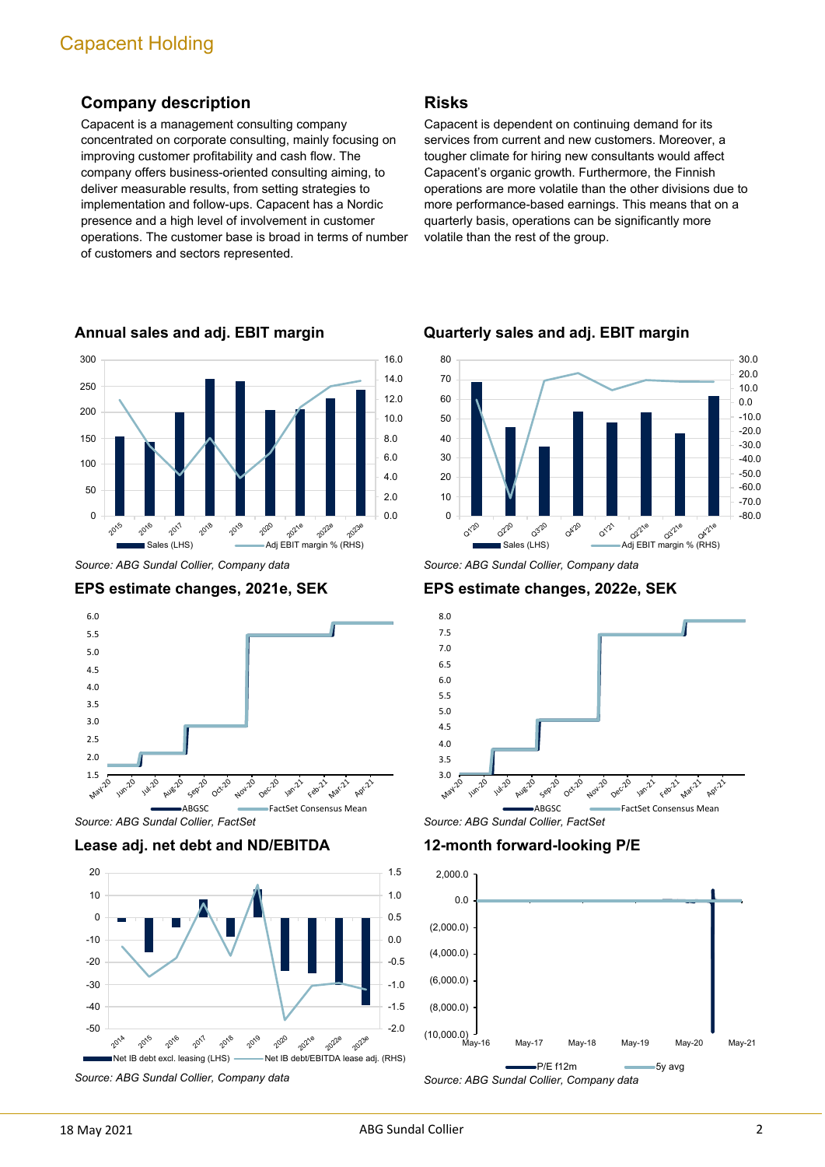## **Company description**

Capacent is a management consulting company concentrated on corporate consulting, mainly focusing on improving customer profitability and cash flow. The company offers business-oriented consulting aiming, to deliver measurable results, from setting strategies to implementation and follow-ups. Capacent has a Nordic presence and a high level of involvement in customer operations. The customer base is broad in terms of number of customers and sectors represented.



**Annual sales and adj. EBIT margin**

*Source: ABG Sundal Collier, Company data*





*Source: ABG Sundal Collier, FactSet*

#### **Lease adj. net debt and ND/EBITDA**



*Source: ABG Sundal Collier, Company data*

### **Risks**

Capacent is dependent on continuing demand for its services from current and new customers. Moreover, a tougher climate for hiring new consultants would affect Capacent's organic growth. Furthermore, the Finnish operations are more volatile than the other divisions due to more performance-based earnings. This means that on a quarterly basis, operations can be significantly more volatile than the rest of the group.



**Quarterly sales and adj. EBIT margin**

*Source: ABG Sundal Collier, Company data*

**EPS estimate changes, 2022e, SEK**



*Source: ABG Sundal Collier, FactSet*

**12-month forward-looking P/E**

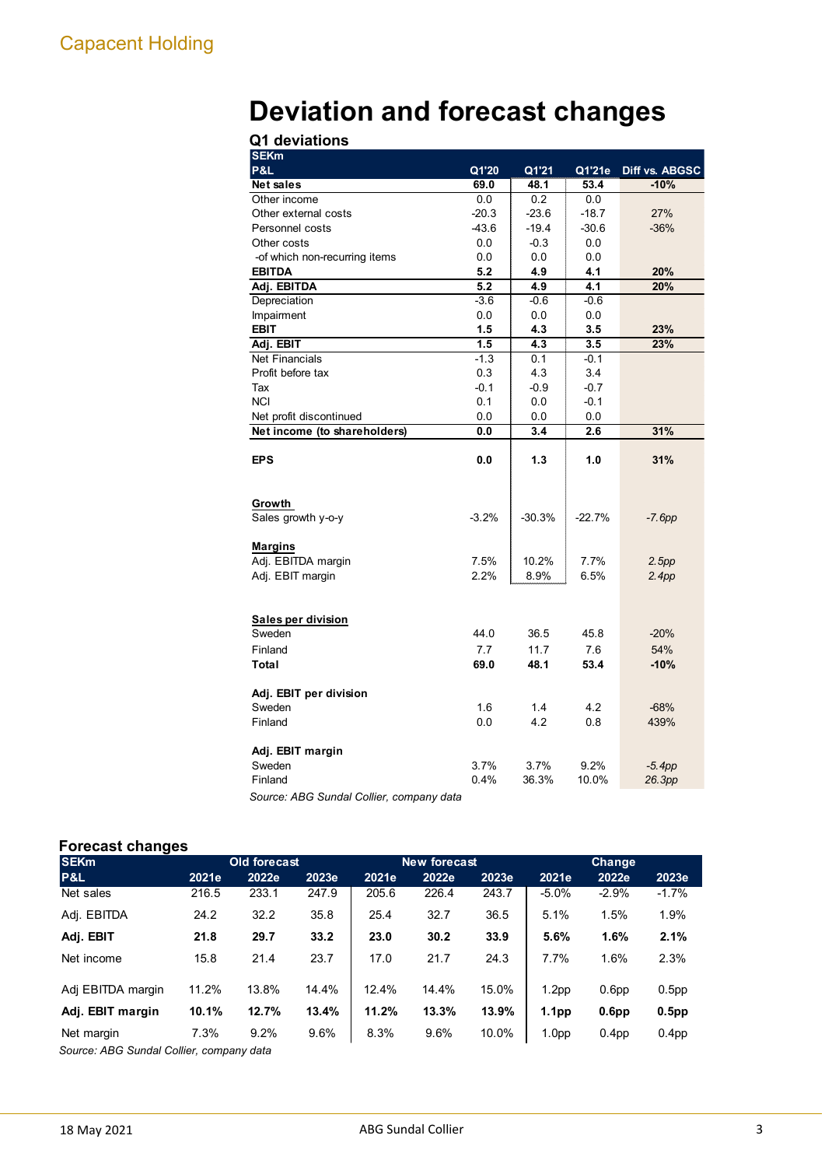# **Deviation and forecast changes**

| Q1 deviations |  |
|---------------|--|
|               |  |

| <b>SEKm</b>                   |         |          |          |                    |
|-------------------------------|---------|----------|----------|--------------------|
| <b>P&amp;L</b>                | Q1'20   | Q1'21    | Q1'21e   | Diff vs. ABGSC     |
| <b>Net sales</b>              | 69.0    | 48.1     | 53.4     | $-10%$             |
| Other income                  | 0.0     | 0.2      | 0.0      |                    |
| Other external costs          | $-20.3$ | $-23.6$  | $-18.7$  | 27%                |
| Personnel costs               | $-43.6$ | $-19.4$  | $-30.6$  | $-36%$             |
| Other costs                   | 0.0     | $-0.3$   | 0.0      |                    |
| -of which non-recurring items | 0.0     | 0.0      | 0.0      |                    |
| <b>EBITDA</b>                 | 5.2     | 4.9      | 4.1      | 20%                |
| Adj. EBITDA                   | 5.2     | 4.9      | 4.1      | 20%                |
| Depreciation                  | $-3.6$  | $-0.6$   | $-0.6$   |                    |
| Impairment                    | 0.0     | 0.0      | 0.0      |                    |
| <b>EBIT</b>                   | 1.5     | 4.3      | 3.5      | 23%                |
| Adj. EBIT                     | 1.5     | 4.3      | 3.5      | 23%                |
| <b>Net Financials</b>         | $-1.3$  | 0.1      | $-0.1$   |                    |
| Profit before tax             | 0.3     | 4.3      | 3.4      |                    |
| Tax                           | $-0.1$  | $-0.9$   | $-0.7$   |                    |
| <b>NCI</b>                    | 0.1     | 0.0      | $-0.1$   |                    |
| Net profit discontinued       | 0.0     | 0.0      | 0.0      |                    |
| Net income (to shareholders)  | 0.0     | 3.4      | 2.6      | 31%                |
| <b>EPS</b>                    | 0.0     | 1.3      | 1.0      | 31%                |
|                               |         |          |          |                    |
| Growth                        |         |          |          |                    |
| Sales growth y-o-y            | $-3.2%$ | $-30.3%$ | $-22.7%$ | $-7.6pp$           |
|                               |         |          |          |                    |
| Margins                       |         |          |          |                    |
| Adj. EBITDA margin            | 7.5%    | 10.2%    | 7.7%     | 2.5pp              |
| Adj. EBIT margin              | 2.2%    | 8.9%     | 6.5%     | 2.4pp              |
|                               |         |          |          |                    |
|                               |         |          |          |                    |
| Sales per division            |         |          |          |                    |
| Sweden                        | 44.0    | 36.5     | 45.8     | $-20%$             |
| Finland                       | 7.7     | 11.7     | 7.6      | 54%                |
| Total                         | 69.0    | 48.1     | 53.4     | $-10%$             |
|                               |         |          |          |                    |
| Adj. EBIT per division        |         |          |          |                    |
| Sweden                        | 1.6     | 1.4      | 4.2      | $-68%$             |
| Finland                       | 0.0     | 4.2      | 0.8      | 439%               |
| Adj. EBIT margin              |         |          |          |                    |
| Sweden                        | 3.7%    | 3.7%     | 9.2%     |                    |
| Finland                       | 0.4%    | 36.3%    | 10.0%    | $-5.4pp$<br>26.3pp |
| $-1$ $-1$ $\sim$              |         |          |          |                    |

*Source: ABG Sundal Collier, company data*

## **Forecast changes**

| <b>SEKm</b>       |       | Old forecast |       |       | New forecast |       | <b>Change</b>     |                   |                   |  |  |
|-------------------|-------|--------------|-------|-------|--------------|-------|-------------------|-------------------|-------------------|--|--|
| <b>P&amp;L</b>    | 2021e | 2022e        | 2023e | 2021e | 2022e        | 2023e | 2021e             | 2022e             | 2023e             |  |  |
| Net sales         | 216.5 | 233.1        | 247.9 | 205.6 | 226.4        | 243.7 | $-5.0\%$          | $-2.9%$           | $-1.7%$           |  |  |
| Adj. EBITDA       | 24.2  | 32.2         | 35.8  | 25.4  | 32.7         | 36.5  | 5.1%              | 1.5%              | 1.9%              |  |  |
| Adj. EBIT         | 21.8  | 29.7         | 33.2  | 23.0  | 30.2         | 33.9  | 5.6%              | 1.6%              | 2.1%              |  |  |
| Net income        | 15.8  | 21.4         | 23.7  | 17.0  | 21.7         | 24.3  | 7.7%              | 1.6%              | 2.3%              |  |  |
| Adj EBITDA margin | 11.2% | 13.8%        | 14.4% | 12.4% | 14.4%        | 15.0% | 1.2 <sub>pp</sub> | 0.6 <sub>pp</sub> | 0.5 <sub>pp</sub> |  |  |
| Adj. EBIT margin  | 10.1% | 12.7%        | 13.4% | 11.2% | 13.3%        | 13.9% | 1.1 <sub>pp</sub> | 0.6 <sub>pp</sub> | $0.5$ pp          |  |  |
| Net margin<br>.   | 7.3%  | 9.2%         | 9.6%  | 8.3%  | 9.6%         | 10.0% | 1.0 <sub>pp</sub> | 0.4 <sub>pp</sub> | 0.4 <sub>pp</sub> |  |  |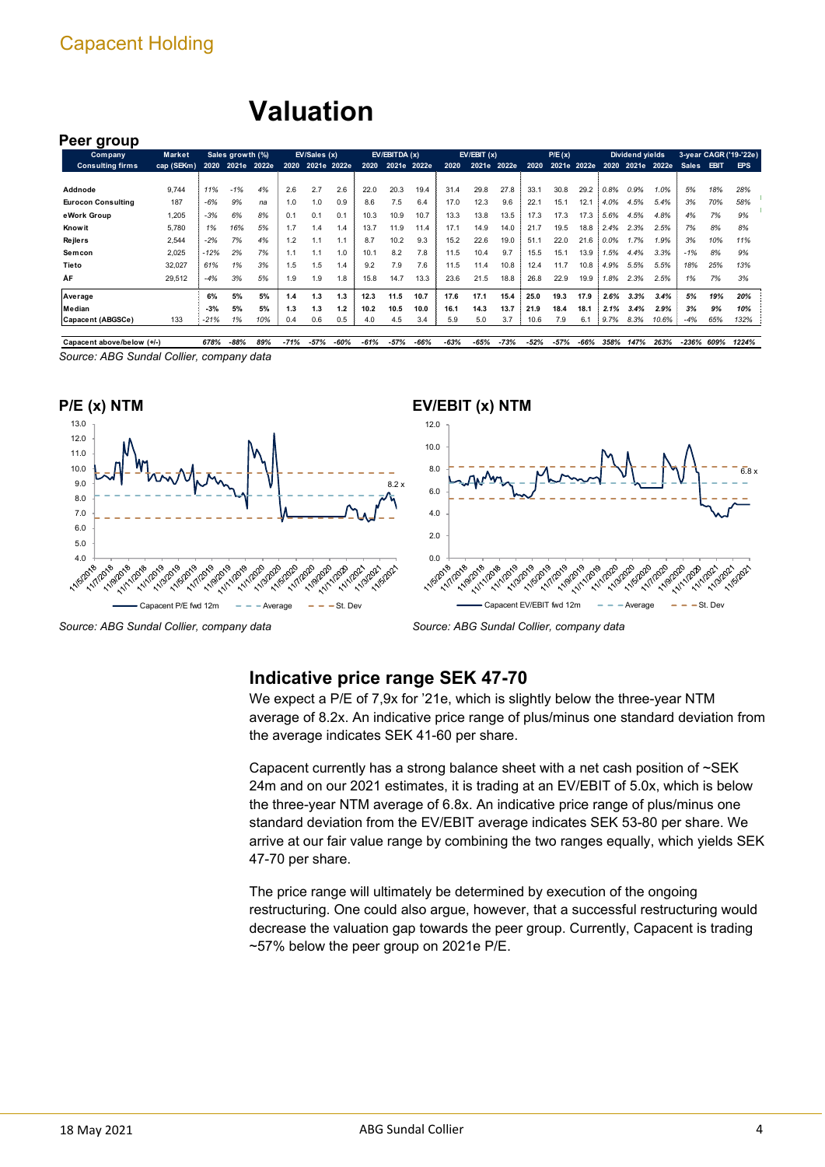## **Valuation**

### **Peer group**

| <b>Company</b>            | Market     |        | Sales growth (%) |             |      | EV/Sales (x) |     |      | EV/EBITDA(x) |      |      | EV/EBIT(x) |       |      | P/E(x) |             |      | Dividend yields |       |              |             | 3-year CAGR ('19-'22e) |
|---------------------------|------------|--------|------------------|-------------|------|--------------|-----|------|--------------|------|------|------------|-------|------|--------|-------------|------|-----------------|-------|--------------|-------------|------------------------|
| <b>Consulting firms</b>   | cap (SEKm) | 2020   |                  | 2021e 2022e | 2020 | 2021e 2022e  |     | 2020 | 2021e 2022e  |      | 2020 | 2021e      | 2022e | 2020 |        | 2021e 2022e |      | 2020 2021e      | 2022e | <b>Sales</b> | <b>EBIT</b> | EPS                    |
|                           |            |        |                  |             |      |              |     |      |              |      |      |            |       |      |        |             |      |                 |       |              |             |                        |
| Addnode                   | 9.744      | 11%    | $-1%$            | 4%          | 2.6  | 2.7          | 2.6 | 22.0 | 20.3         | 19.4 | 31.4 | 29.8       | 27.8  | 33.1 | 30.8   | 29.2        | 0.8% | 0.9%            | 1.0%  | 5%           | 18%         | 28%                    |
| <b>Eurocon Consulting</b> | 187        | $-6%$  | 9%               | na          | 1.0  | 1.0          | 0.9 | 8.6  | 7.5          | 6.4  | 17.0 | 12.3       | 9.6   | 22.1 | 15.1   | 12.1        | 4.0% | 4.5%            | 5.4%  | 3%           | 70%         | 58%                    |
| eWork Group               | 1,205      | $-3%$  | 6%               | 8%          | 0.1  | 0.1          | 0.1 | 10.3 | 10.9         | 10.7 | 13.3 | 13.8       | 13.5  | 17.3 | 17.3   | 17.3        | 5.6% | 4.5%            | 4.8%  | 4%           | 7%          | 9%                     |
| Know it                   | 5.780      | 1%     | 16%              | 5%          | 1.7  | 1.4          | 1.4 | 13.7 | 11.9         | 11.4 | 17.1 | 14.9       | 14.0  | 21.7 | 19.5   | 18.8        | 2.4% | 2.3%            | 2.5%  | 7%           | 8%          | 8%                     |
| <b>Rejlers</b>            | 2,544      | $-2%$  | 7%               | 4%          | 1.2  |              | 1.1 | 8.7  | 10.2         | 9.3  | 15.2 | 22.6       | 19.0  | 51.1 | 22.0   | 21.6        | 0.0% | 1.7%            | 1.9%  | 3%           | 10%         | 11%                    |
| Semcon                    | 2.025      | $-12%$ | 2%               | 7%          | 1.1  |              | 1.0 | 10.1 | 8.2          | 7.8  | 11.5 | 10.4       | 9.7   | 15.5 | 15.1   | 13.9        | 1.5% | 4.4%            | 3.3%  | $-1%$        | 8%          | 9%                     |
| Tieto                     | 32,027     | 61%    | 1%               | 3%          | 1.5  | 1.5          | 1.4 | 9.2  | 7.9          | 7.6  | 11.5 | 11.4       | 10.8  | 12.4 | 11.7   | 10.8        | 4.9% | 5.5%            | 5.5%  | 18%          | 25%         | 13%                    |
| ÅF                        | 29.512     | $-4%$  | 3%               | 5%          | 1.9  | 1.9          | 1.8 | 15.8 | 14.7         | 13.3 | 23.6 | 21.5       | 18.8  | 26.8 | 22.9   | 19.9        | 1.8% | 2.3%            | 2.5%  | 1%           | 7%          | 3%                     |
| Average                   |            | 6%     | 5%               | 5%          | 1.4  | 1.3          | 1.3 | 12.3 | 11.5         | 10.7 | 17.6 | 17.1       | 15.4  | 25.0 | 19.3   | 17.9        | 2.6% | 3.3%            | 3.4%  | 5%           | 19%         | 20%                    |
| Median                    |            | $-3%$  | 5%               | 5%          | 1.3  | 1.3          | 1.2 | 10.2 | 10.5         | 10.0 | 16.1 | 14.3       | 13.7  | 21.9 | 18.4   | 18.1        | 2.1% | 3.4%            | 2.9%  | 3%           | 9%          | 10%                    |
| Capacent (ABGSCe)         | 133        | $-21%$ | 1%               | 10%         | 0.4  | 0.6          | 0.5 | 4.0  | 4.5          | 3.4  | 5.9  | 5.0        | 3.7   | 10.6 | 7.9    | 6.1         | 9.7% | 8.3%            | 10.6% | $-4%$        | 65%         | 132%                   |

*Source: ABG Sundal Collier, company data* Capacent above/below (+/-) 678% -88% 89% -71% -57% -60% -61% -57% -66% -63% -65% -73% -58% -58% -68% 358% 147% 263% -236% 609% 1224%



*Source: ABG Sundal Collier, company data*

*Source: ABG Sundal Collier, company data*

## **Indicative price range SEK 47-70**

We expect a P/E of 7,9x for '21e, which is slightly below the three-year NTM average of 8.2x. An indicative price range of plus/minus one standard deviation from the average indicates SEK 41-60 per share.

Capacent currently has a strong balance sheet with a net cash position of ~SEK 24m and on our 2021 estimates, it is trading at an EV/EBIT of 5.0x, which is below the three-year NTM average of 6.8x. An indicative price range of plus/minus one standard deviation from the EV/EBIT average indicates SEK 53-80 per share. We arrive at our fair value range by combining the two ranges equally, which yields SEK 47-70 per share.

The price range will ultimately be determined by execution of the ongoing restructuring. One could also argue, however, that a successful restructuring would decrease the valuation gap towards the peer group. Currently, Capacent is trading ~57% below the peer group on 2021e P/E.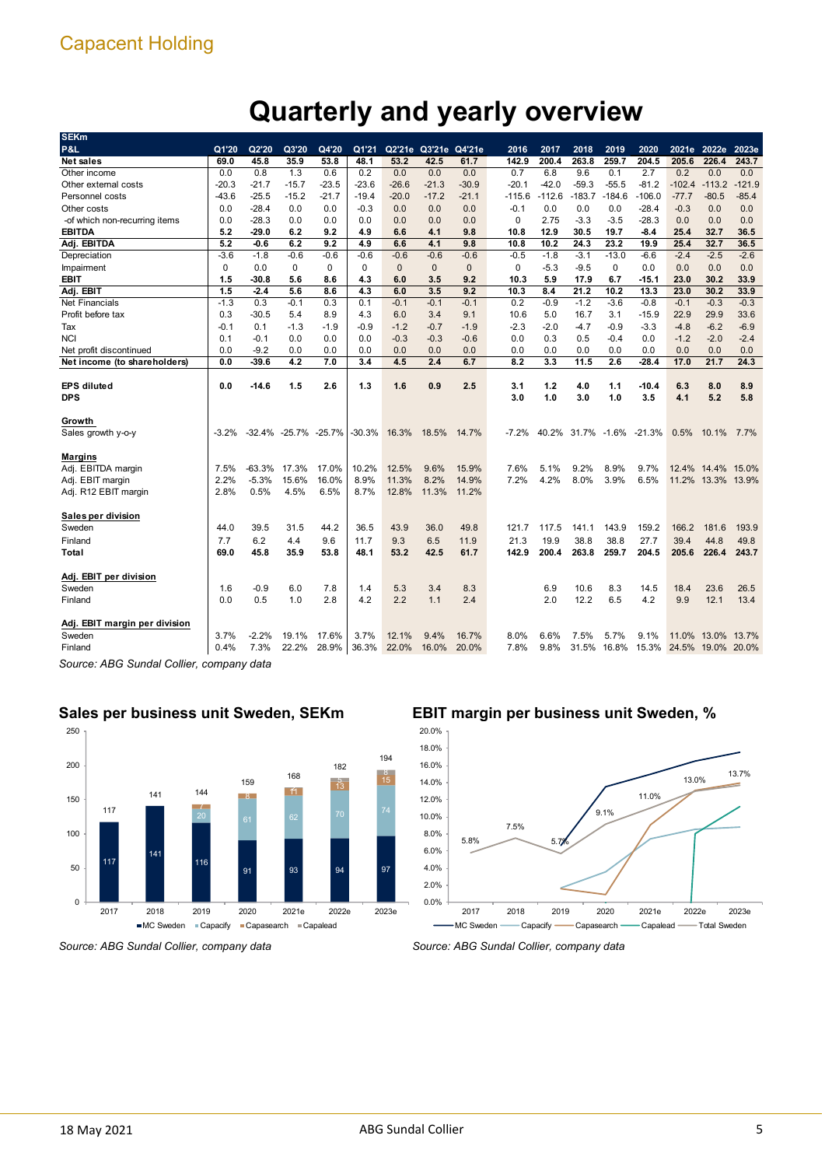# **Quarterly and yearly overview**

| <b>SEKm</b>                   |          |         |                      |         |          |              |                      |              |         |          |          |             |                    |          |                   |          |
|-------------------------------|----------|---------|----------------------|---------|----------|--------------|----------------------|--------------|---------|----------|----------|-------------|--------------------|----------|-------------------|----------|
| P&L                           | Q1'20    | Q2'20   | Q3'20                | Q4'20   | Q1'21    |              | Q2'21e Q3'21e Q4'21e |              | 2016    | 2017     | 2018     | 2019        | 2020               |          | 2021e 2022e       | 2023e    |
| Net sales                     | 69.0     | 45.8    | 35.9                 | 53.8    | 48.1     | 53.2         | 42.5                 | 61.7         | 142.9   | 200.4    | 263.8    | 259.7       | 204.5              | 205.6    | 226.4             | 243.7    |
| Other income                  | 0.0      | 0.8     | 1.3                  | 0.6     | 0.2      | 0.0          | 0.0                  | 0.0          | 0.7     | 6.8      | 9.6      | 0.1         | 2.7                | 0.2      | 0.0               | 0.0      |
| Other external costs          | -20.3    | $-21.7$ | $-15.7$              | $-23.5$ | $-23.6$  | $-26.6$      | $-21.3$              | $-30.9$      | $-20.1$ | $-42.0$  | $-59.3$  | $-55.5$     | $-81.2$            | $-102.4$ | $-113.2$          | $-121.9$ |
| Personnel costs               | -43.6    | $-25.5$ | $-15.2$              | $-21.7$ | $-19.4$  | $-20.0$      | $-17.2$              | $-21.1$      | -115.6  | $-112.6$ | $-183.7$ | $-184.6$    | $-106.0$           | $-77.7$  | $-80.5$           | $-85.4$  |
| Other costs                   | 0.0      | $-28.4$ | 0.0                  | 0.0     | $-0.3$   | 0.0          | 0.0                  | 0.0          | $-0.1$  | 0.0      | 0.0      | 0.0         | $-28.4$            | $-0.3$   | 0.0               | 0.0      |
| -of which non-recurring items | 0.0      | $-28.3$ | 0.0                  | 0.0     | 0.0      | 0.0          | 0.0                  | 0.0          | 0       | 2.75     | $-3.3$   | $-3.5$      | $-28.3$            | 0.0      | 0.0               | 0.0      |
| <b>EBITDA</b>                 | 5.2      | -29.0   | 6.2                  | 9.2     | 4.9      | 6.6          | 4.1                  | 9.8          | 10.8    | 12.9     | 30.5     | 19.7        | -8.4               | 25.4     | 32.7              | 36.5     |
| Adj. EBITDA                   | 5.2      | -0.6    | 6.2                  | 9.2     | 4.9      | 6.6          | 4.1                  | 9.8          | 10.8    | 10.2     | 24.3     | 23.2        | 19.9               | 25.4     | 32.7              | 36.5     |
| Depreciation                  | $-3.6$   | $-1.8$  | -0.6                 | $-0.6$  | $-0.6$   | $-0.6$       | $-0.6$               | $-0.6$       | $-0.5$  | $-1.8$   | $-3.1$   | $-13.0$     | $-6.6$             | $-2.4$   | $-2.5$            | $-2.6$   |
| Impairment                    | $\Omega$ | 0.0     | 0                    | 0       | 0        | $\mathbf{0}$ | $\mathbf{0}$         | $\mathbf{0}$ | 0       | $-5.3$   | $-9.5$   | 0           | 0.0                | 0.0      | 0.0               | 0.0      |
| EBIT                          | 1.5      | -30.8   | 5.6                  | 8.6     | 4.3      | 6.0          | 3.5                  | 9.2          | 10.3    | 5.9      | 17.9     | 6.7         | $-15.1$            | 23.0     | 30.2              | 33.9     |
| Adj. EBIT                     | 1.5      | $-2.4$  | 5.6                  | 8.6     | 4.3      | 6.0          | 3.5                  | 9.2          | 10.3    | 8.4      | 21.2     | 10.2        | 13.3               | 23.0     | 30.2              | 33.9     |
| <b>Net Financials</b>         | $-1.3$   | 0.3     | $-0.1$               | 0.3     | 0.1      | $-0.1$       | $-0.1$               | $-0.1$       | 0.2     | $-0.9$   | $-1.2$   | $-3.6$      | $-0.8$             | $-0.1$   | $-0.3$            | $-0.3$   |
| Profit before tax             | 0.3      | -30.5   | 5.4                  | 8.9     | 4.3      | 6.0          | 3.4                  | 9.1          | 10.6    | 5.0      | 16.7     | 3.1         | $-15.9$            | 22.9     | 29.9              | 33.6     |
| Tax                           | $-0.1$   | 0.1     | $-1.3$               | $-1.9$  | $-0.9$   | $-1.2$       | $-0.7$               | $-1.9$       | $-2.3$  | $-2.0$   | $-4.7$   | $-0.9$      | $-3.3$             | $-4.8$   | $-6.2$            | $-6.9$   |
| <b>NCI</b>                    | 0.1      | -0.1    | 0.0                  | 0.0     | 0.0      | $-0.3$       | $-0.3$               | $-0.6$       | 0.0     | 0.3      | 0.5      | $-0.4$      | 0.0                | $-1.2$   | $-2.0$            | $-2.4$   |
| Net profit discontinued       | 0.0      | $-9.2$  | 0.0                  | 0.0     | 0.0      | 0.0          | 0.0                  | 0.0          | 0.0     | 0.0      | 0.0      | 0.0         | 0.0                | 0.0      | 0.0               | 0.0      |
| Net income (to shareholders)  | 0.0      | $-39.6$ | 4.2                  | 7.0     | 3.4      | 4.5          | 2.4                  | 6.7          | 8.2     | 3.3      | 11.5     | 2.6         | $-28.4$            | 17.0     | 21.7              | 24.3     |
|                               |          |         |                      |         |          |              |                      |              |         |          |          |             |                    |          |                   |          |
| <b>EPS diluted</b>            | 0.0      | -14.6   | 1.5                  | 2.6     | 1.3      | 1.6          | 0.9                  | 2.5          | 3.1     | 1.2      | 4.0      | 1.1         | $-10.4$            | 6.3      | 8.0               | 8.9      |
| <b>DPS</b>                    |          |         |                      |         |          |              |                      |              | 3.0     | 1.0      | 3.0      | 1.0         | 3.5                | 4.1      | 5.2               | 5.8      |
|                               |          |         |                      |         |          |              |                      |              |         |          |          |             |                    |          |                   |          |
| Growth                        |          |         |                      |         |          |              |                      |              |         |          |          |             |                    |          |                   |          |
| Sales growth y-o-y            | $-3.2%$  |         | -32.4% -25.7% -25.7% |         | $-30.3%$ | 16.3%        | 18.5%                | 14.7%        | $-7.2%$ | 40.2%    |          |             | 31.7% -1.6% -21.3% | 0.5%     | $10.1\%$          | 7.7%     |
|                               |          |         |                      |         |          |              |                      |              |         |          |          |             |                    |          |                   |          |
| Margins                       |          |         |                      |         |          |              |                      |              |         |          |          |             |                    |          |                   |          |
| Adj. EBITDA margin            | 7.5%     | -63.3%  | 17.3%                | 17.0%   | 10.2%    | 12.5%        | 9.6%                 | 15.9%        | 7.6%    | 5.1%     | 9.2%     | 8.9%        | 9.7%               |          | 12.4% 14.4% 15.0% |          |
| Adj. EBIT margin              | 2.2%     | $-5.3%$ | 15.6%                | 16.0%   | 8.9%     | 11.3%        | 8.2%                 | 14.9%        | 7.2%    | 4.2%     | 8.0%     | 3.9%        | 6.5%               |          | 11.2% 13.3% 13.9% |          |
| Adj. R12 EBIT margin          | 2.8%     | 0.5%    | 4.5%                 | 6.5%    | 8.7%     | 12.8%        | 11.3%                | 11.2%        |         |          |          |             |                    |          |                   |          |
|                               |          |         |                      |         |          |              |                      |              |         |          |          |             |                    |          |                   |          |
| Sales per division            |          |         |                      |         |          |              |                      |              |         |          |          |             |                    |          |                   |          |
| Sweden                        | 44.0     | 39.5    | 31.5                 | 44.2    | 36.5     | 43.9         | 36.0                 | 49.8         | 121.7   | 117.5    | 141.1    | 143.9       | 159.2              | 166.2    | 181.6             | 193.9    |
| Finland                       | 7.7      | 6.2     | 4.4                  | 9.6     | 11.7     | 9.3          | 6.5                  | 11.9         | 21.3    | 19.9     | 38.8     | 38.8        | 27.7               | 39.4     | 44.8              | 49.8     |
| Total                         | 69.0     | 45.8    | 35.9                 | 53.8    | 48.1     | 53.2         | 42.5                 | 61.7         | 142.9   | 200.4    | 263.8    | 259.7       | 204.5              | 205.6    | 226.4             | 243.7    |
|                               |          |         |                      |         |          |              |                      |              |         |          |          |             |                    |          |                   |          |
| Adj. EBIT per division        |          |         |                      |         |          |              |                      |              |         |          |          |             |                    |          |                   |          |
| Sweden                        | 1.6      | $-0.9$  | 6.0                  | 7.8     | 1.4      | 5.3          | 3.4                  | 8.3          |         | 6.9      | 10.6     | 8.3         | 14.5               | 18.4     | 23.6              | 26.5     |
| Finland                       | 0.0      | 0.5     | 1.0                  | 2.8     | 4.2      | 2.2          | 1.1                  | 2.4          |         | 2.0      | 12.2     | 6.5         | 4.2                | 9.9      | 12.1              | 13.4     |
|                               |          |         |                      |         |          |              |                      |              |         |          |          |             |                    |          |                   |          |
| Adj. EBIT margin per division |          |         |                      |         |          |              |                      |              |         |          |          |             |                    |          |                   |          |
| Sweden                        | 3.7%     | $-2.2%$ | 19.1%                | 17.6%   | 3.7%     | 12.1%        | 9.4%                 | 16.7%        | 8.0%    | 6.6%     | 7.5%     | 5.7%        | 9.1%               | 11.0%    | 13.0%             | 13.7%    |
| Finland                       | 0.4%     | 7.3%    | 22.2%                | 28.9%   | 36.3%    | 22.0%        | 16.0%                | 20.0%        | 7.8%    | 9.8%     |          | 31.5% 16.8% | 15.3%              |          | 24.5% 19.0% 20.0% |          |
|                               |          |         |                      |         |          |              |                      |              |         |          |          |             |                    |          |                   |          |

*Source: ABG Sundal Collier, company data*

## **Sales per business unit Sweden, SEKm**



**EBIT margin per business unit Sweden, %**



*Source: ABG Sundal Collier, company data*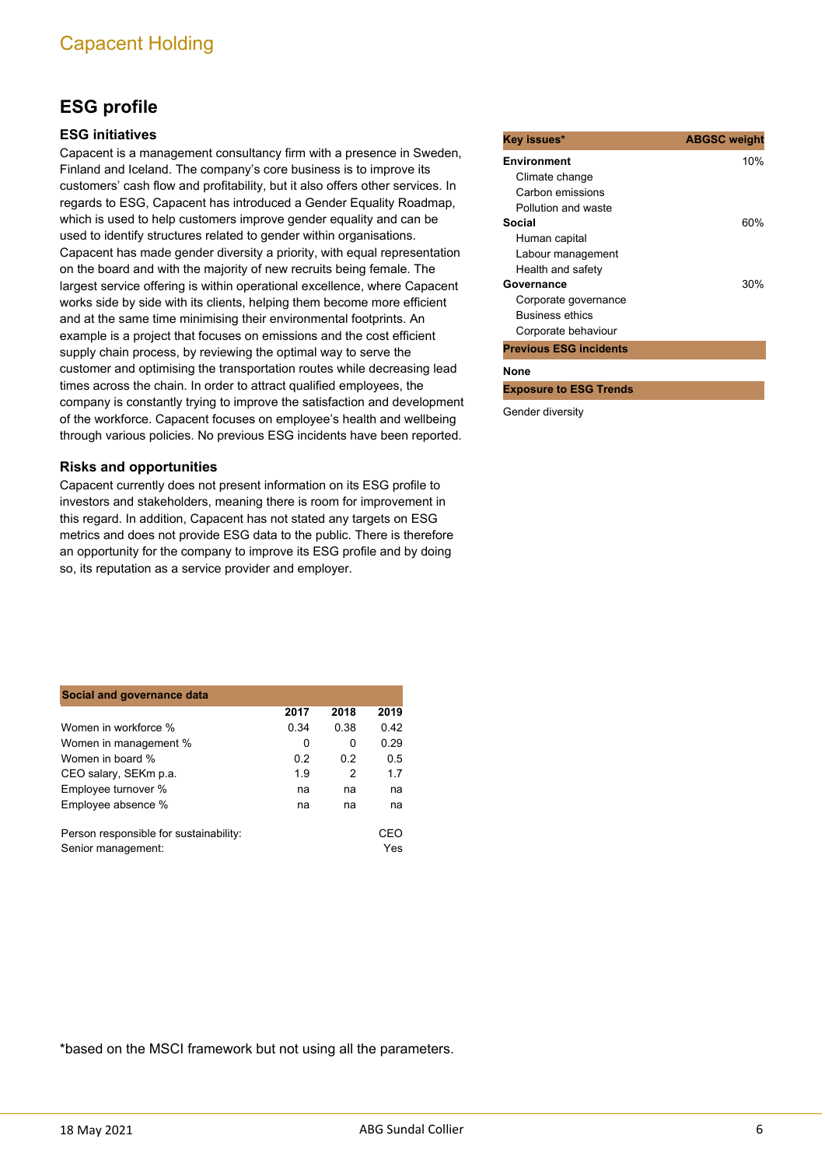## **ESG profile**

## **ESG initiatives**

Capacent is a management consultancy firm with a presence in Sweden, Finland and Iceland. The company's core business is to improve its customers' cash flow and profitability, but it also offers other services. In regards to ESG, Capacent has introduced a Gender Equality Roadmap, which is used to help customers improve gender equality and can be used to identify structures related to gender within organisations. Capacent has made gender diversity a priority, with equal representation on the board and with the majority of new recruits being female. The largest service offering is within operational excellence, where Capacent works side by side with its clients, helping them become more efficient and at the same time minimising their environmental footprints. An example is a project that focuses on emissions and the cost efficient supply chain process, by reviewing the optimal way to serve the customer and optimising the transportation routes while decreasing lead times across the chain. In order to attract qualified employees, the company is constantly trying to improve the satisfaction and development of the workforce. Capacent focuses on employee's health and wellbeing through various policies. No previous ESG incidents have been reported.

#### **Risks and opportunities**

Capacent currently does not present information on its ESG profile to investors and stakeholders, meaning there is room for improvement in this regard. In addition, Capacent has not stated any targets on ESG metrics and does not provide ESG data to the public. There is therefore an opportunity for the company to improve its ESG profile and by doing so, its reputation as a service provider and employer.

| Social and governance data                                   |      |          |            |
|--------------------------------------------------------------|------|----------|------------|
|                                                              | 2017 | 2018     | 2019       |
| Women in workforce %                                         | 0.34 | 0.38     | 0.42       |
| Women in management %                                        | 0    | $\Omega$ | 0.29       |
| Women in board %                                             | 0.2  | 02       | 0.5        |
| CEO salary, SEKm p.a.                                        | 1.9  | 2        | 1.7        |
| Employee turnover %                                          | na   | na       | na         |
| Employee absence %                                           | na   | na       | na         |
| Person responsible for sustainability:<br>Senior management: |      |          | CEO<br>Yes |

| Key issues*                   | <b>ABGSC weight</b> |
|-------------------------------|---------------------|
| <b>Environment</b>            | 10%                 |
| Climate change                |                     |
| Carbon emissions              |                     |
| Pollution and waste           |                     |
| Social                        | 60%                 |
| Human capital                 |                     |
| Labour management             |                     |
| Health and safety             |                     |
| Governance                    | 30%                 |
| Corporate governance          |                     |
| <b>Business ethics</b>        |                     |
| Corporate behaviour           |                     |
| <b>Previous ESG incidents</b> |                     |
| None                          |                     |
| <b>Exposure to ESG Trends</b> |                     |

Gender diversity

\*based on the MSCI framework but not using all the parameters.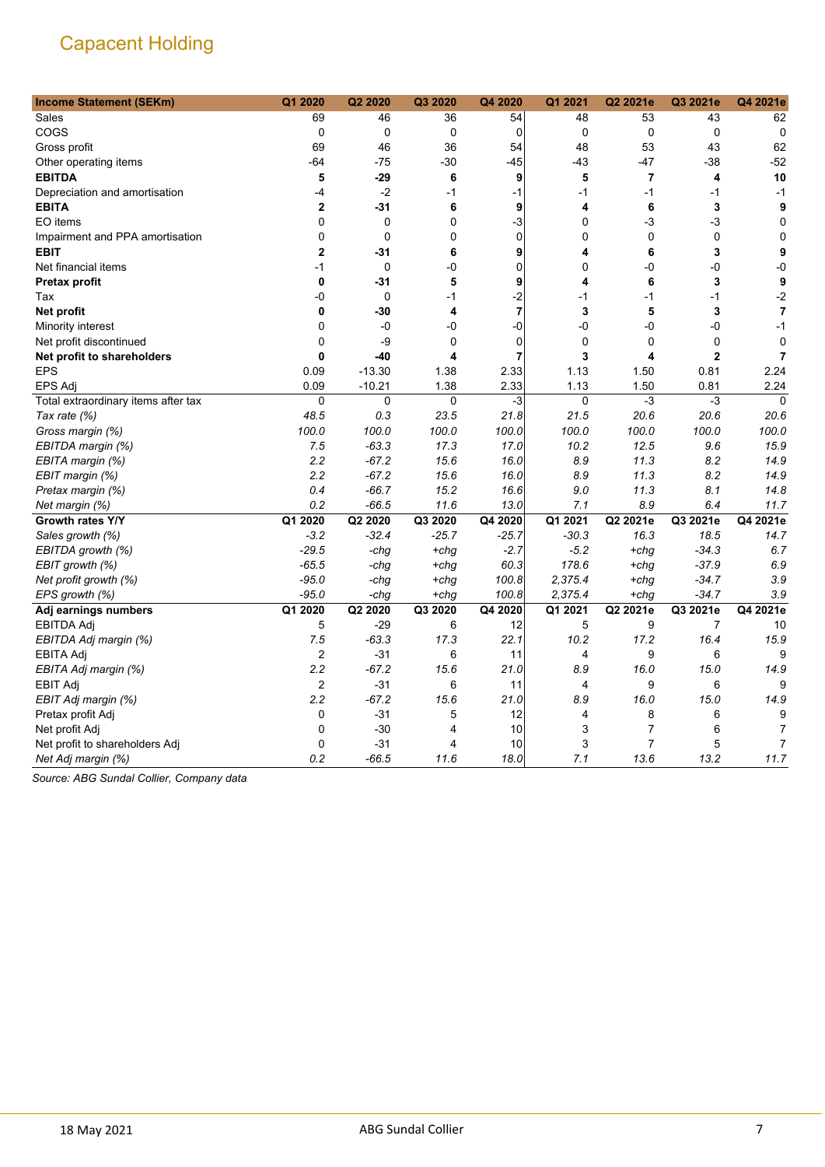| <b>Income Statement (SEKm)</b>      | Q1 2020                 | Q2 2020     | Q3 2020  | Q4 2020        | Q1 2021     | Q2 2021e                | Q3 2021e       | Q4 2021e       |
|-------------------------------------|-------------------------|-------------|----------|----------------|-------------|-------------------------|----------------|----------------|
| Sales                               | 69                      | 46          | 36       | 54             | 48          | 53                      | 43             | 62             |
| COGS                                | $\pmb{0}$               | 0           | 0        | $\mathbf 0$    | $\mathbf 0$ | $\mathbf 0$             | $\mathbf 0$    | $\mathbf 0$    |
| Gross profit                        | 69                      | 46          | 36       | 54             | 48          | 53                      | 43             | 62             |
| Other operating items               | $-64$                   | $-75$       | -30      | $-45$          | $-43$       | -47                     | $-38$          | $-52$          |
| <b>EBITDA</b>                       | 5                       | $-29$       | 6        | 9              | 5           | $\overline{\mathbf{r}}$ | 4              | 10             |
| Depreciation and amortisation       | -4                      | $-2$        | $-1$     | -1             | $-1$        | $-1$                    | $-1$           | $-1$           |
| <b>EBITA</b>                        | $\mathbf{2}$            | $-31$       | 6        | 9              | 4           | 6                       | 3              | 9              |
| EO items                            | $\Omega$                | 0           | $\Omega$ | -3             | 0           | -3                      | -3             | $\mathbf 0$    |
| Impairment and PPA amortisation     | 0                       | 0           | 0        | 0              | 0           | 0                       | $\mathbf 0$    | $\mathbf 0$    |
| <b>EBIT</b>                         | $\mathbf{2}$            | $-31$       | 6        | 9              | 4           | 6                       | 3              | 9              |
| Net financial items                 | $-1$                    | 0           | -0       | $\mathbf 0$    | 0           | -0                      | -0             | -0             |
| Pretax profit                       | 0                       | $-31$       | 5        | 9              | 4           | 6                       | 3              | 9              |
| Tax                                 | -0                      | $\mathbf 0$ | $-1$     | $-2$           | $-1$        | $-1$                    | $-1$           | $-2$           |
| Net profit                          | 0                       | $-30$       | 4        | $\overline{7}$ | 3           | 5                       | 3              | $\overline{7}$ |
| Minority interest                   | $\mathbf 0$             | $-0$        | -0       | $-0$           | -0          | $-0$                    | $-0$           | $-1$           |
| Net profit discontinued             | 0                       | $-9$        | 0        | $\mathbf 0$    | $\mathbf 0$ | 0                       | $\mathbf 0$    | 0              |
| Net profit to shareholders          | 0                       | $-40$       | 4        | $\overline{7}$ | 3           | 4                       | $\overline{2}$ | $\overline{7}$ |
| <b>EPS</b>                          | 0.09                    | $-13.30$    | 1.38     | 2.33           | 1.13        | 1.50                    | 0.81           | 2.24           |
| <b>EPS Adj</b>                      | 0.09                    | $-10.21$    | 1.38     | 2.33           | 1.13        | 1.50                    | 0.81           | 2.24           |
| Total extraordinary items after tax | 0                       | 0           | 0        | $-3$           | 0           | $-3$                    | -3             | $\mathbf 0$    |
| Tax rate (%)                        | 48.5                    | 0.3         | 23.5     | 21.8           | 21.5        | 20.6                    | 20.6           | 20.6           |
| Gross margin (%)                    | 100.0                   | 100.0       | 100.0    | 100.0          | 100.0       | 100.0                   | 100.0          | 100.0          |
| EBITDA margin (%)                   | 7.5                     | $-63.3$     | 17.3     | 17.0           | 10.2        | 12.5                    | 9.6            | 15.9           |
| EBITA margin (%)                    | 2.2                     | $-67.2$     | 15.6     | 16.0           | 8.9         | 11.3                    | 8.2            | 14.9           |
| EBIT margin (%)                     | 2.2                     | $-67.2$     | 15.6     | 16.0           | 8.9         | 11.3                    | 8.2            | 14.9           |
| Pretax margin (%)                   | 0.4                     | $-66.7$     | 15.2     | 16.6           | 9.0         | 11.3                    | 8.1            | 14.8           |
| Net margin (%)                      | 0.2                     | $-66.5$     | 11.6     | 13.0           | 7.1         | 8.9                     | 6.4            | 11.7           |
| Growth rates Y/Y                    | Q1 2020                 | Q2 2020     | Q3 2020  | Q4 2020        | Q1 2021     | Q2 2021e                | Q3 2021e       | Q4 2021e       |
| Sales growth (%)                    | $-3.2$                  | $-32.4$     | $-25.7$  | -25.7          | $-30.3$     | 16.3                    | 18.5           | 14.7           |
| EBITDA growth (%)                   | $-29.5$                 | -chg        | $+chg$   | $-2.7$         | $-5.2$      | +chg                    | $-34.3$        | 6.7            |
| EBIT growth (%)                     | $-65.5$                 | -chg        | $+chg$   | 60.3           | 178.6       | +chg                    | $-37.9$        | 6.9            |
| Net profit growth (%)               | $-95.0$                 | -chg        | $+chg$   | 100.8          | 2,375.4     | $+chg$                  | $-34.7$        | 3.9            |
| EPS growth (%)                      | $-95.0$                 | -chg        | $+chg$   | 100.8          | 2,375.4     | +chg                    | $-34.7$        | 3.9            |
| Adj earnings numbers                | Q1 2020                 | Q2 2020     | Q3 2020  | Q4 2020        | Q1 2021     | Q2 2021e                | Q3 2021e       | Q4 2021e       |
| <b>EBITDA Adj</b>                   | 5                       | $-29$       | 6        | 12             | 5           | 9                       | $\overline{7}$ | 10             |
| EBITDA Adj margin (%)               | 7.5                     | $-63.3$     | 17.3     | 22.1           | 10.2        | 17.2                    | 16.4           | 15.9           |
| EBITA Adj                           | $\overline{\mathbf{c}}$ | $-31$       | 6        | 11             | 4           | 9                       | 6              | 9              |
| EBITA Adj margin (%)                | 2.2                     | $-67.2$     | 15.6     | 21.0           | 8.9         | 16.0                    | 15.0           | 14.9           |
| <b>EBIT Adj</b>                     | $\overline{c}$          | $-31$       | 6        | 11             | 4           | 9                       | 6              | 9              |
| EBIT Adj margin (%)                 | 2.2                     | $-67.2$     | 15.6     | 21.0           | 8.9         | 16.0                    | 15.0           | 14.9           |
| Pretax profit Adj                   | 0                       | $-31$       | 5        | 12             | 4           | 8                       | 6              | 9              |
| Net profit Adj                      | $\mathbf 0$             | $-30$       | 4        | 10             | 3           | 7                       | 6              | 7              |
| Net profit to shareholders Adj      | 0                       | $-31$       | 4        | 10             | 3           | $\overline{7}$          | 5              | $\overline{7}$ |
| Net Adj margin (%)                  | 0.2                     | $-66.5$     | 11.6     | 18.0           | 7.1         | 13.6                    | 13.2           | 11.7           |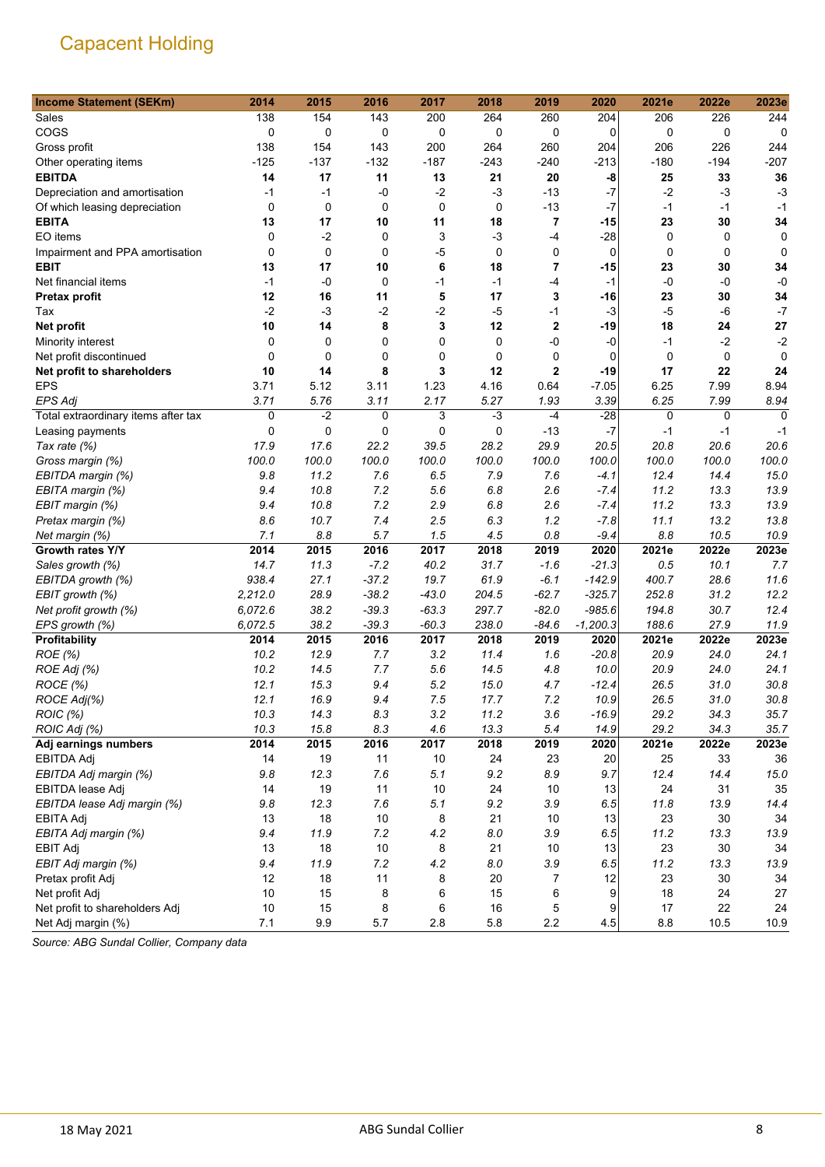| 138<br>154<br>143<br>264<br>226<br>244<br>Sales<br>200<br>260<br>204<br>206<br>COGS<br>0<br>0<br>0<br>0<br>0<br>0<br>$\mathbf 0$<br>0<br>0<br>0<br>138<br>154<br>143<br>200<br>264<br>260<br>226<br>244<br>204<br>206<br>Gross profit<br>$-125$<br>$-137$<br>$-132$<br>$-240$<br>$-194$<br>$-207$<br>$-187$<br>$-243$<br>$-213$<br>$-180$<br>Other operating items<br><b>EBITDA</b><br>21<br>20<br>33<br>36<br>14<br>17<br>11<br>13<br>-8<br>25<br>$-0$<br>$-2$<br>$-3$<br>$-13$<br>$-7$<br>$-2$<br>$-3$<br>$-3$<br>Depreciation and amortisation<br>$-1$<br>$-1$<br>$\pmb{0}$<br>$-7$<br>$\mathbf 0$<br>0<br>0<br>0<br>$-13$<br>$-1$<br>Of which leasing depreciation<br>-1<br>$-1$<br>$\overline{\mathbf{r}}$<br>17<br>11<br>34<br><b>EBITA</b><br>13<br>10<br>18<br>-15<br>23<br>30<br>EO items<br>$\mathbf 0$<br>$-2$<br>3<br>$-3$<br>$-4$<br>$-28$<br>0<br>0<br>0<br>0<br>$\Omega$<br>0<br>-5<br>0<br>0<br>$\mathbf 0$<br>Impairment and PPA amortisation<br>$\Omega$<br>$\mathbf 0$<br>0<br>0<br>6<br>18<br>34<br><b>EBIT</b><br>13<br>17<br>10<br>7<br>-15<br>23<br>30<br>$-1$<br>$-0$<br>0<br>$-1$<br>$-1$<br>$-4$<br>$-1$<br>$-0$<br>$-0$<br>$-0$<br>Net financial items<br>5<br>17<br>12<br>16<br>3<br>23<br>30<br>34<br>11<br>-16<br><b>Pretax profit</b><br>$-2$<br>$-3$<br>$-2$<br>$-2$<br>$-5$<br>$-1$<br>$-3$<br>$-5$<br>$-6$<br>$-7$<br>Tax<br>14<br>8<br>12<br>$\mathbf 2$<br>18<br>27<br>Net profit<br>10<br>3<br>-19<br>24<br>-0<br>$-2$<br>0<br>0<br>$-2$<br>Minority interest<br>0<br>0<br>0<br>-0<br>-1<br>$\mathbf 0$<br>0<br>0<br>0<br>0<br>0<br>0<br>Net profit discontinued<br>$\mathbf 0$<br>0<br>0<br>10<br>8<br>3<br>12<br>2<br>$-19$<br>22<br>Net profit to shareholders<br>14<br>17<br>24<br><b>EPS</b><br>3.71<br>$-7.05$<br>6.25<br>8.94<br>5.12<br>3.11<br>1.23<br>4.16<br>0.64<br>7.99<br>3.11<br>5.27<br>6.25<br>7.99<br>8.94<br><b>EPS Adj</b><br>3.71<br>5.76<br>2.17<br>1.93<br>3.39 |
|-----------------------------------------------------------------------------------------------------------------------------------------------------------------------------------------------------------------------------------------------------------------------------------------------------------------------------------------------------------------------------------------------------------------------------------------------------------------------------------------------------------------------------------------------------------------------------------------------------------------------------------------------------------------------------------------------------------------------------------------------------------------------------------------------------------------------------------------------------------------------------------------------------------------------------------------------------------------------------------------------------------------------------------------------------------------------------------------------------------------------------------------------------------------------------------------------------------------------------------------------------------------------------------------------------------------------------------------------------------------------------------------------------------------------------------------------------------------------------------------------------------------------------------------------------------------------------------------------------------------------------------------------------------------------------------------------------------------------------------------------------------------------------------------------------------------------------------------------------------------------------------------------------------------------------|
|                                                                                                                                                                                                                                                                                                                                                                                                                                                                                                                                                                                                                                                                                                                                                                                                                                                                                                                                                                                                                                                                                                                                                                                                                                                                                                                                                                                                                                                                                                                                                                                                                                                                                                                                                                                                                                                                                                                             |
|                                                                                                                                                                                                                                                                                                                                                                                                                                                                                                                                                                                                                                                                                                                                                                                                                                                                                                                                                                                                                                                                                                                                                                                                                                                                                                                                                                                                                                                                                                                                                                                                                                                                                                                                                                                                                                                                                                                             |
|                                                                                                                                                                                                                                                                                                                                                                                                                                                                                                                                                                                                                                                                                                                                                                                                                                                                                                                                                                                                                                                                                                                                                                                                                                                                                                                                                                                                                                                                                                                                                                                                                                                                                                                                                                                                                                                                                                                             |
|                                                                                                                                                                                                                                                                                                                                                                                                                                                                                                                                                                                                                                                                                                                                                                                                                                                                                                                                                                                                                                                                                                                                                                                                                                                                                                                                                                                                                                                                                                                                                                                                                                                                                                                                                                                                                                                                                                                             |
|                                                                                                                                                                                                                                                                                                                                                                                                                                                                                                                                                                                                                                                                                                                                                                                                                                                                                                                                                                                                                                                                                                                                                                                                                                                                                                                                                                                                                                                                                                                                                                                                                                                                                                                                                                                                                                                                                                                             |
|                                                                                                                                                                                                                                                                                                                                                                                                                                                                                                                                                                                                                                                                                                                                                                                                                                                                                                                                                                                                                                                                                                                                                                                                                                                                                                                                                                                                                                                                                                                                                                                                                                                                                                                                                                                                                                                                                                                             |
|                                                                                                                                                                                                                                                                                                                                                                                                                                                                                                                                                                                                                                                                                                                                                                                                                                                                                                                                                                                                                                                                                                                                                                                                                                                                                                                                                                                                                                                                                                                                                                                                                                                                                                                                                                                                                                                                                                                             |
|                                                                                                                                                                                                                                                                                                                                                                                                                                                                                                                                                                                                                                                                                                                                                                                                                                                                                                                                                                                                                                                                                                                                                                                                                                                                                                                                                                                                                                                                                                                                                                                                                                                                                                                                                                                                                                                                                                                             |
|                                                                                                                                                                                                                                                                                                                                                                                                                                                                                                                                                                                                                                                                                                                                                                                                                                                                                                                                                                                                                                                                                                                                                                                                                                                                                                                                                                                                                                                                                                                                                                                                                                                                                                                                                                                                                                                                                                                             |
|                                                                                                                                                                                                                                                                                                                                                                                                                                                                                                                                                                                                                                                                                                                                                                                                                                                                                                                                                                                                                                                                                                                                                                                                                                                                                                                                                                                                                                                                                                                                                                                                                                                                                                                                                                                                                                                                                                                             |
|                                                                                                                                                                                                                                                                                                                                                                                                                                                                                                                                                                                                                                                                                                                                                                                                                                                                                                                                                                                                                                                                                                                                                                                                                                                                                                                                                                                                                                                                                                                                                                                                                                                                                                                                                                                                                                                                                                                             |
|                                                                                                                                                                                                                                                                                                                                                                                                                                                                                                                                                                                                                                                                                                                                                                                                                                                                                                                                                                                                                                                                                                                                                                                                                                                                                                                                                                                                                                                                                                                                                                                                                                                                                                                                                                                                                                                                                                                             |
|                                                                                                                                                                                                                                                                                                                                                                                                                                                                                                                                                                                                                                                                                                                                                                                                                                                                                                                                                                                                                                                                                                                                                                                                                                                                                                                                                                                                                                                                                                                                                                                                                                                                                                                                                                                                                                                                                                                             |
|                                                                                                                                                                                                                                                                                                                                                                                                                                                                                                                                                                                                                                                                                                                                                                                                                                                                                                                                                                                                                                                                                                                                                                                                                                                                                                                                                                                                                                                                                                                                                                                                                                                                                                                                                                                                                                                                                                                             |
|                                                                                                                                                                                                                                                                                                                                                                                                                                                                                                                                                                                                                                                                                                                                                                                                                                                                                                                                                                                                                                                                                                                                                                                                                                                                                                                                                                                                                                                                                                                                                                                                                                                                                                                                                                                                                                                                                                                             |
|                                                                                                                                                                                                                                                                                                                                                                                                                                                                                                                                                                                                                                                                                                                                                                                                                                                                                                                                                                                                                                                                                                                                                                                                                                                                                                                                                                                                                                                                                                                                                                                                                                                                                                                                                                                                                                                                                                                             |
|                                                                                                                                                                                                                                                                                                                                                                                                                                                                                                                                                                                                                                                                                                                                                                                                                                                                                                                                                                                                                                                                                                                                                                                                                                                                                                                                                                                                                                                                                                                                                                                                                                                                                                                                                                                                                                                                                                                             |
|                                                                                                                                                                                                                                                                                                                                                                                                                                                                                                                                                                                                                                                                                                                                                                                                                                                                                                                                                                                                                                                                                                                                                                                                                                                                                                                                                                                                                                                                                                                                                                                                                                                                                                                                                                                                                                                                                                                             |
|                                                                                                                                                                                                                                                                                                                                                                                                                                                                                                                                                                                                                                                                                                                                                                                                                                                                                                                                                                                                                                                                                                                                                                                                                                                                                                                                                                                                                                                                                                                                                                                                                                                                                                                                                                                                                                                                                                                             |
|                                                                                                                                                                                                                                                                                                                                                                                                                                                                                                                                                                                                                                                                                                                                                                                                                                                                                                                                                                                                                                                                                                                                                                                                                                                                                                                                                                                                                                                                                                                                                                                                                                                                                                                                                                                                                                                                                                                             |
| $-3$<br>0<br>$-2$<br>3<br>$-4$<br>$-28$<br>$\mathbf 0$<br>$\Omega$<br>Total extraordinary items after tax<br>0<br>0                                                                                                                                                                                                                                                                                                                                                                                                                                                                                                                                                                                                                                                                                                                                                                                                                                                                                                                                                                                                                                                                                                                                                                                                                                                                                                                                                                                                                                                                                                                                                                                                                                                                                                                                                                                                         |
| $-7$<br>0<br>0<br>$\mathbf 0$<br>0<br>0<br>$-13$<br>$-1$<br>$-1$<br>$-1$<br>Leasing payments                                                                                                                                                                                                                                                                                                                                                                                                                                                                                                                                                                                                                                                                                                                                                                                                                                                                                                                                                                                                                                                                                                                                                                                                                                                                                                                                                                                                                                                                                                                                                                                                                                                                                                                                                                                                                                |
| 17.9<br>17.6<br>22.2<br>39.5<br>28.2<br>29.9<br>20.8<br>20.6<br>20.6<br>20.5<br>Tax rate (%)                                                                                                                                                                                                                                                                                                                                                                                                                                                                                                                                                                                                                                                                                                                                                                                                                                                                                                                                                                                                                                                                                                                                                                                                                                                                                                                                                                                                                                                                                                                                                                                                                                                                                                                                                                                                                                |
| 100.0<br>100.0<br>100.0<br>100.0<br>100.0<br>100.0<br>100.0<br>100.0<br>100.0<br>100.0<br>Gross margin (%)                                                                                                                                                                                                                                                                                                                                                                                                                                                                                                                                                                                                                                                                                                                                                                                                                                                                                                                                                                                                                                                                                                                                                                                                                                                                                                                                                                                                                                                                                                                                                                                                                                                                                                                                                                                                                  |
| 11.2<br>7.6<br>12.4<br>15.0<br>EBITDA margin (%)<br>9.8<br>7.6<br>6.5<br>7.9<br>14.4<br>-4.1                                                                                                                                                                                                                                                                                                                                                                                                                                                                                                                                                                                                                                                                                                                                                                                                                                                                                                                                                                                                                                                                                                                                                                                                                                                                                                                                                                                                                                                                                                                                                                                                                                                                                                                                                                                                                                |
| 13.9<br>9.4<br>10.8<br>7.2<br>5.6<br>6.8<br>2.6<br>11.2<br>EBITA margin (%)<br>$-7.4$<br>13.3                                                                                                                                                                                                                                                                                                                                                                                                                                                                                                                                                                                                                                                                                                                                                                                                                                                                                                                                                                                                                                                                                                                                                                                                                                                                                                                                                                                                                                                                                                                                                                                                                                                                                                                                                                                                                               |
| 9.4<br>10.8<br>7.2<br>2.9<br>6.8<br>2.6<br>11.2<br>13.3<br>13.9<br>EBIT margin (%)<br>$-7.4$                                                                                                                                                                                                                                                                                                                                                                                                                                                                                                                                                                                                                                                                                                                                                                                                                                                                                                                                                                                                                                                                                                                                                                                                                                                                                                                                                                                                                                                                                                                                                                                                                                                                                                                                                                                                                                |
| 8.6<br>10.7<br>2.5<br>6.3<br>1.2<br>13.2<br>13.8<br>7.4<br>-7.8<br>11.1<br>Pretax margin (%)                                                                                                                                                                                                                                                                                                                                                                                                                                                                                                                                                                                                                                                                                                                                                                                                                                                                                                                                                                                                                                                                                                                                                                                                                                                                                                                                                                                                                                                                                                                                                                                                                                                                                                                                                                                                                                |
| 7.1<br>8.8<br>5.7<br>1.5<br>0.8<br>8.8<br>10.5<br>10.9<br>4.5<br>$-9.4$<br>Net margin (%)                                                                                                                                                                                                                                                                                                                                                                                                                                                                                                                                                                                                                                                                                                                                                                                                                                                                                                                                                                                                                                                                                                                                                                                                                                                                                                                                                                                                                                                                                                                                                                                                                                                                                                                                                                                                                                   |
| 2023e<br>2014<br>2016<br>2017<br>2018<br>2021e<br>2022e<br>Growth rates Y/Y<br>2015<br>2019<br>2020                                                                                                                                                                                                                                                                                                                                                                                                                                                                                                                                                                                                                                                                                                                                                                                                                                                                                                                                                                                                                                                                                                                                                                                                                                                                                                                                                                                                                                                                                                                                                                                                                                                                                                                                                                                                                         |
| 31.7<br>14.7<br>11.3<br>$-7.2$<br>40.2<br>10.1<br>7.7<br>Sales growth (%)<br>$-1.6$<br>$-21.3$<br>0.5                                                                                                                                                                                                                                                                                                                                                                                                                                                                                                                                                                                                                                                                                                                                                                                                                                                                                                                                                                                                                                                                                                                                                                                                                                                                                                                                                                                                                                                                                                                                                                                                                                                                                                                                                                                                                       |
| 938.4<br>27.1<br>$-37.2$<br>19.7<br>61.9<br>$-6.1$<br>$-142.9$<br>400.7<br>11.6<br>EBITDA growth (%)<br>28.6                                                                                                                                                                                                                                                                                                                                                                                                                                                                                                                                                                                                                                                                                                                                                                                                                                                                                                                                                                                                                                                                                                                                                                                                                                                                                                                                                                                                                                                                                                                                                                                                                                                                                                                                                                                                                |
| 12.2<br>2,212.0<br>28.9<br>$-38.2$<br>$-43.0$<br>204.5<br>$-62.7$<br>$-325.7$<br>252.8<br>31.2<br>EBIT growth (%)                                                                                                                                                                                                                                                                                                                                                                                                                                                                                                                                                                                                                                                                                                                                                                                                                                                                                                                                                                                                                                                                                                                                                                                                                                                                                                                                                                                                                                                                                                                                                                                                                                                                                                                                                                                                           |
| 6,072.6<br>38.2<br>$-39.3$<br>$-63.3$<br>297.7<br>$-82.0$<br>$-985.6$<br>194.8<br>30.7<br>12.4<br>Net profit growth (%)                                                                                                                                                                                                                                                                                                                                                                                                                                                                                                                                                                                                                                                                                                                                                                                                                                                                                                                                                                                                                                                                                                                                                                                                                                                                                                                                                                                                                                                                                                                                                                                                                                                                                                                                                                                                     |
| 6,072.5<br>38.2<br>$-39.3$<br>$-60.3$<br>238.0<br>$-1,200.3$<br>188.6<br>27.9<br>11.9<br>$-84.6$<br>EPS growth (%)                                                                                                                                                                                                                                                                                                                                                                                                                                                                                                                                                                                                                                                                                                                                                                                                                                                                                                                                                                                                                                                                                                                                                                                                                                                                                                                                                                                                                                                                                                                                                                                                                                                                                                                                                                                                          |
| 2023e<br>Profitability<br>2014<br>2015<br>2016<br>2017<br>2018<br>2019<br>2020<br>2021e<br>2022e                                                                                                                                                                                                                                                                                                                                                                                                                                                                                                                                                                                                                                                                                                                                                                                                                                                                                                                                                                                                                                                                                                                                                                                                                                                                                                                                                                                                                                                                                                                                                                                                                                                                                                                                                                                                                            |
| 10.2<br>12.9<br>3.2<br>11.4<br>$-20.8$<br>20.9<br>24.1<br>ROE (%)<br>7.7<br>1.6<br>24.0                                                                                                                                                                                                                                                                                                                                                                                                                                                                                                                                                                                                                                                                                                                                                                                                                                                                                                                                                                                                                                                                                                                                                                                                                                                                                                                                                                                                                                                                                                                                                                                                                                                                                                                                                                                                                                     |
| 10.2<br>7.7<br>5.6<br>14.5<br>10.0<br>20.9<br>ROE Adj (%)<br>14.5<br>4.8<br>24.0<br>24.1                                                                                                                                                                                                                                                                                                                                                                                                                                                                                                                                                                                                                                                                                                                                                                                                                                                                                                                                                                                                                                                                                                                                                                                                                                                                                                                                                                                                                                                                                                                                                                                                                                                                                                                                                                                                                                    |
| 12.1<br>15.3<br>5.2<br>15.0<br>26.5<br>30.8<br>ROCE (%)<br>9.4<br>4.7<br>$-12.4$<br>31.0                                                                                                                                                                                                                                                                                                                                                                                                                                                                                                                                                                                                                                                                                                                                                                                                                                                                                                                                                                                                                                                                                                                                                                                                                                                                                                                                                                                                                                                                                                                                                                                                                                                                                                                                                                                                                                    |
| ROCE Adj(%)<br>12.1<br>16.9<br>7.5<br>17.7<br>7.2<br>10.9<br>26.5<br>30.8<br>9.4<br>31.0                                                                                                                                                                                                                                                                                                                                                                                                                                                                                                                                                                                                                                                                                                                                                                                                                                                                                                                                                                                                                                                                                                                                                                                                                                                                                                                                                                                                                                                                                                                                                                                                                                                                                                                                                                                                                                    |
| ROIC (%)<br>10.3<br>14.3<br>8.3<br>3.2<br>11.2<br>3.6<br>$-16.9$<br>29.2<br>34.3<br>35.7                                                                                                                                                                                                                                                                                                                                                                                                                                                                                                                                                                                                                                                                                                                                                                                                                                                                                                                                                                                                                                                                                                                                                                                                                                                                                                                                                                                                                                                                                                                                                                                                                                                                                                                                                                                                                                    |
| 10.3<br>15.8<br>8.3<br>4.6<br>13.3<br>5.4<br>14.9<br>29.2<br>ROIC Adj (%)<br>34.3<br>35.7                                                                                                                                                                                                                                                                                                                                                                                                                                                                                                                                                                                                                                                                                                                                                                                                                                                                                                                                                                                                                                                                                                                                                                                                                                                                                                                                                                                                                                                                                                                                                                                                                                                                                                                                                                                                                                   |
| 2014<br>2015<br>2018<br>2023e<br>2016<br>2017<br>2019<br>2020<br>2021e<br>2022e<br>Adj earnings numbers                                                                                                                                                                                                                                                                                                                                                                                                                                                                                                                                                                                                                                                                                                                                                                                                                                                                                                                                                                                                                                                                                                                                                                                                                                                                                                                                                                                                                                                                                                                                                                                                                                                                                                                                                                                                                     |
| <b>EBITDA Adj</b><br>14<br>19<br>11<br>10<br>24<br>23<br>20<br>25<br>33<br>36                                                                                                                                                                                                                                                                                                                                                                                                                                                                                                                                                                                                                                                                                                                                                                                                                                                                                                                                                                                                                                                                                                                                                                                                                                                                                                                                                                                                                                                                                                                                                                                                                                                                                                                                                                                                                                               |
| 9.8<br>12.3<br>7.6<br>5.1<br>9.2<br>8.9<br>9.7<br>12.4<br>15.0<br>EBITDA Adj margin (%)<br>14.4                                                                                                                                                                                                                                                                                                                                                                                                                                                                                                                                                                                                                                                                                                                                                                                                                                                                                                                                                                                                                                                                                                                                                                                                                                                                                                                                                                                                                                                                                                                                                                                                                                                                                                                                                                                                                             |
| 14<br>19<br>11<br>10<br>24<br>10<br>13<br>24<br>31<br>$35\,$<br>EBITDA lease Adj                                                                                                                                                                                                                                                                                                                                                                                                                                                                                                                                                                                                                                                                                                                                                                                                                                                                                                                                                                                                                                                                                                                                                                                                                                                                                                                                                                                                                                                                                                                                                                                                                                                                                                                                                                                                                                            |
| 9.8<br>12.3<br>7.6<br>5.1<br>9.2<br>3.9<br>6.5<br>11.8<br>14.4<br>EBITDA lease Adj margin (%)<br>13.9                                                                                                                                                                                                                                                                                                                                                                                                                                                                                                                                                                                                                                                                                                                                                                                                                                                                                                                                                                                                                                                                                                                                                                                                                                                                                                                                                                                                                                                                                                                                                                                                                                                                                                                                                                                                                       |
| 18<br>$10$<br>8<br>21<br>13<br>23<br>34<br><b>EBITA Adj</b><br>13<br>10<br>30                                                                                                                                                                                                                                                                                                                                                                                                                                                                                                                                                                                                                                                                                                                                                                                                                                                                                                                                                                                                                                                                                                                                                                                                                                                                                                                                                                                                                                                                                                                                                                                                                                                                                                                                                                                                                                               |
| 9.4<br>4.2<br>8.0<br>3.9<br>6.5<br>13.9<br>EBITA Adj margin (%)<br>11.9<br>7.2<br>11.2<br>13.3                                                                                                                                                                                                                                                                                                                                                                                                                                                                                                                                                                                                                                                                                                                                                                                                                                                                                                                                                                                                                                                                                                                                                                                                                                                                                                                                                                                                                                                                                                                                                                                                                                                                                                                                                                                                                              |
| 13<br>18<br>$10$<br>8<br>21<br>10<br>13<br>23<br>$30\,$<br>34<br><b>EBIT Adj</b>                                                                                                                                                                                                                                                                                                                                                                                                                                                                                                                                                                                                                                                                                                                                                                                                                                                                                                                                                                                                                                                                                                                                                                                                                                                                                                                                                                                                                                                                                                                                                                                                                                                                                                                                                                                                                                            |
| 4.2<br>9.4<br>11.9<br>7.2<br>8.0<br>3.9<br>6.5<br>11.2<br>13.3<br>13.9<br>EBIT Adj margin (%)                                                                                                                                                                                                                                                                                                                                                                                                                                                                                                                                                                                                                                                                                                                                                                                                                                                                                                                                                                                                                                                                                                                                                                                                                                                                                                                                                                                                                                                                                                                                                                                                                                                                                                                                                                                                                               |
| 12<br>8<br>20<br>12<br>23<br>$30\,$<br>Pretax profit Adj<br>18<br>11<br>7<br>34                                                                                                                                                                                                                                                                                                                                                                                                                                                                                                                                                                                                                                                                                                                                                                                                                                                                                                                                                                                                                                                                                                                                                                                                                                                                                                                                                                                                                                                                                                                                                                                                                                                                                                                                                                                                                                             |
| 9<br>$27\,$<br>Net profit Adj<br>10<br>15<br>8<br>6<br>15<br>6<br>18<br>24                                                                                                                                                                                                                                                                                                                                                                                                                                                                                                                                                                                                                                                                                                                                                                                                                                                                                                                                                                                                                                                                                                                                                                                                                                                                                                                                                                                                                                                                                                                                                                                                                                                                                                                                                                                                                                                  |
| Net profit to shareholders Adj<br>10<br>15<br>8<br>16<br>5<br>9<br>17<br>22<br>24<br>6                                                                                                                                                                                                                                                                                                                                                                                                                                                                                                                                                                                                                                                                                                                                                                                                                                                                                                                                                                                                                                                                                                                                                                                                                                                                                                                                                                                                                                                                                                                                                                                                                                                                                                                                                                                                                                      |
| $9.9\,$<br>5.8<br>2.2<br>10.9<br>Net Adj margin (%)<br>7.1<br>$5.7\,$<br>2.8<br>4.5<br>8.8<br>10.5                                                                                                                                                                                                                                                                                                                                                                                                                                                                                                                                                                                                                                                                                                                                                                                                                                                                                                                                                                                                                                                                                                                                                                                                                                                                                                                                                                                                                                                                                                                                                                                                                                                                                                                                                                                                                          |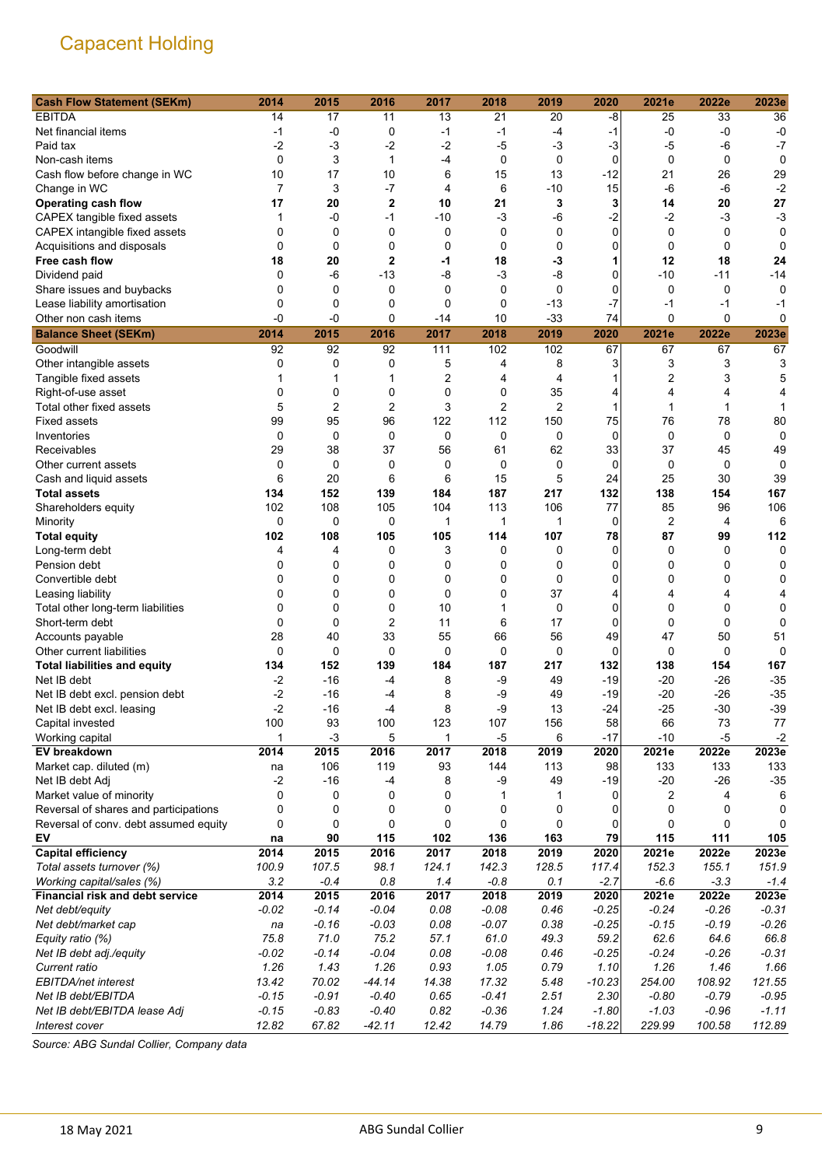| <b>Cash Flow Statement (SEKm)</b>     | 2014           | 2015           | 2016           | 2017        | 2018        | 2019           | 2020        | 2021e   | 2022e       | 2023e   |
|---------------------------------------|----------------|----------------|----------------|-------------|-------------|----------------|-------------|---------|-------------|---------|
| <b>EBITDA</b>                         | 14             | 17             | 11             | 13          | 21          | 20             | -8          | 25      | 33          | 36      |
| Net financial items                   | -1             | $-0$           | 0              | -1          | $-1$        | -4             | $-1$        | -0      | $-0$        | $-0$    |
| Paid tax                              | $-2$           | $-3$           | $-2$           | $-2$        | $-5$        | $-3$           | $-3$        | -5      | -6          | $-7$    |
| Non-cash items                        | $\mathbf 0$    | 3              | 1              | -4          | $\mathbf 0$ | $\mathbf 0$    | $\mathbf 0$ | 0       | 0           | 0       |
| Cash flow before change in WC         | 10             | 17             | 10             | 6           | 15          | 13             | $-12$       | 21      | 26          | 29      |
| Change in WC                          | $\overline{7}$ | 3              | $-7$           | 4           | 6           | $-10$          | 15          | -6      | $-6$        | $-2$    |
| <b>Operating cash flow</b>            | 17             | 20             | $\mathbf{2}$   | 10          | 21          | 3              | 3           | 14      | 20          | 27      |
| CAPEX tangible fixed assets           | 1              | -0             | $-1$           | -10         | -3          | $-6$           | $-2$        | $-2$    | -3          | $-3$    |
| CAPEX intangible fixed assets         | 0              | $\mathbf 0$    | 0              | 0           | 0           | 0              | 0           | 0       | 0           | 0       |
| Acquisitions and disposals            | $\mathbf 0$    | $\mathbf 0$    | $\mathbf 0$    | 0           | 0           | 0              | 0           | 0       | $\mathbf 0$ | 0       |
| Free cash flow                        | 18             | 20             | $\overline{2}$ | -1          | 18          | -3             | 1           | 12      | 18          | 24      |
| Dividend paid                         | 0              | $-6$           | $-13$          | -8          | $-3$        | $-8$           | 0           | $-10$   | -11         | $-14$   |
| Share issues and buybacks             | 0              | $\mathbf 0$    | 0              | $\mathbf 0$ | 0           | $\mathbf 0$    | 0           | 0       | 0           | 0       |
| Lease liability amortisation          | 0              | 0              | $\mathbf 0$    | 0           | 0           | $-13$          | $-7$        | $-1$    | $-1$        | -1      |
| Other non cash items                  | -0             | $-0$           | $\mathbf 0$    | -14         | 10          | $-33$          | 74          | 0       | $\mathbf 0$ | 0       |
| <b>Balance Sheet (SEKm)</b>           | 2014           | 2015           | 2016           | 2017        | 2018        | 2019           | 2020        | 2021e   | 2022e       | 2023e   |
| Goodwill                              | 92             | 92             | 92             | 111         | 102         | 102            | 67          | 67      | 67          | 67      |
| Other intangible assets               | 0              | $\mathbf 0$    | 0              | 5           | 4           | 8              | 3           | 3       | 3           | 3       |
| Tangible fixed assets                 | 1              | 1              | 1              | 2           | 4           | 4              | 1           | 2       | 3           | 5       |
| Right-of-use asset                    | 0              | $\mathbf 0$    | 0              | 0           | 0           | 35             | 4           | 4       | 4           | 4       |
| Total other fixed assets              | 5              | $\overline{2}$ | $\overline{2}$ | 3           | 2           | $\overline{c}$ | 1           | 1       | 1           |         |
| <b>Fixed assets</b>                   | 99             | 95             | 96             | 122         | 112         | 150            | 75          | 76      | 78          | 80      |
| Inventories                           | $\mathbf 0$    | $\mathbf 0$    | $\mathbf 0$    | $\mathbf 0$ | 0           | $\mathbf 0$    | $\mathbf 0$ | 0       | 0           | 0       |
| Receivables                           | 29             | 38             | 37             | 56          | 61          | 62             | 33          | 37      | 45          | 49      |
| Other current assets                  | 0              | 0              | 0              | 0           | 0           | 0              | 0           | 0       | 0           | 0       |
| Cash and liquid assets                | 6              | 20             | 6              | 6           | 15          | 5              | 24          | 25      | 30          | 39      |
| <b>Total assets</b>                   | 134            | 152            | 139            | 184         | 187         | 217            | 132         | 138     | 154         | 167     |
| Shareholders equity                   | 102            | 108            | 105            | 104         | 113         | 106            | 77          | 85      | 96          | 106     |
| Minority                              | 0              | $\mathbf 0$    | 0              | 1           | 1           | 1              | 0           | 2       | 4           | 6       |
| <b>Total equity</b>                   | 102            | 108            | 105            | 105         | 114         | 107            | 78          | 87      | 99          | 112     |
| Long-term debt                        | 4              | 4              | 0              | 3           | 0           | 0              | $\Omega$    | 0       | 0           | 0       |
| Pension debt                          | 0              | 0              | 0              | 0           | 0           | 0              | 0           | 0       | 0           | 0       |
| Convertible debt                      | 0              | 0              | 0              | 0           | 0           | $\mathbf 0$    | 0           | 0       | 0           | 0       |
| Leasing liability                     | 0              | $\mathbf 0$    | 0              | 0           | 0           | 37             | 4           | 4       | 4           | 4       |
| Total other long-term liabilities     | 0              | $\mathbf 0$    | 0              | 10          | 1           | 0              | 0           | 0       | 0           | 0       |
| Short-term debt                       | 0              | $\mathbf 0$    | $\overline{2}$ | 11          | 6           | 17             | 0           | 0       | $\mathbf 0$ | 0       |
| Accounts payable                      | 28             | 40             | 33             | 55          | 66          | 56             | 49          | 47      | 50          | 51      |
| Other current liabilities             | $\mathbf 0$    | $\mathbf 0$    | 0              | 0           | 0           | 0              | $\mathbf 0$ | 0       | $\mathbf 0$ | 0       |
| <b>Total liabilities and equity</b>   | 134            | 152            | 139            | 184         | 187         | 217            | 132         | 138     | 154         | 167     |
| Net IB debt                           | $-2$           | $-16$          | $-4$           | 8           | -9          | 49             | $-19$       | $-20$   | $-26$       | $-35$   |
| Net IB debt excl. pension debt        | $-2$           | $-16$          | -4             | 8           | -9          | 49             | $-19$       | $-20$   | $-26$       | $-35$   |
| Net IB debt excl. leasing             | $-2$           | $-16$          | -4             | 8           | -9          | 13             | $-24$       | $-25$   | $-30$       | $-39$   |
| Capital invested                      | 100            | 93             | 100            | 123         | 107         | 156            | 58          | 66      | 73          | 77      |
| Working capital                       | 1              | $-3$           | 5              | 1           | $-5$        | 6              | $-17$       | $-10$   | $-5$        | $-2$    |
| EV breakdown                          | 2014           | 2015           | 2016           | 2017        | 2018        | 2019           | 2020        | 2021e   | 2022e       | 2023e   |
| Market cap. diluted (m)               | na             | 106            | 119            | 93          | 144         | 113            | 98          | 133     | 133         | 133     |
| Net IB debt Adj                       | $-2$           | $-16$          | $-4$           | 8           | $-9$        | 49             | $-19$       | $-20$   | $-26$       | $-35$   |
| Market value of minority              | 0              | 0              | 0              | 0           | 1           | 1              | 0           | 2       | 4           | 6       |
| Reversal of shares and participations | 0              | 0              | 0              | 0           | 0           | 0              | 0           | 0       | 0           | 0       |
| Reversal of conv. debt assumed equity | 0              | 0              | 0              | 0           | 0           | 0              | 0           | 0       | 0           | 0       |
| EV                                    | na             | 90             | 115            | 102         | 136         | 163            | 79          | 115     | 111         | 105     |
| <b>Capital efficiency</b>             | 2014           | 2015           | 2016           | 2017        | 2018        | 2019           | 2020        | 2021e   | 2022e       | 2023e   |
| Total assets turnover (%)             | 100.9          | 107.5          | 98.1           | 124.1       | 142.3       | 128.5          | 117.4       | 152.3   | 155.1       | 151.9   |
| Working capital/sales (%)             | 3.2            | $-0.4$         | 0.8            | 1.4         | $-0.8$      | 0.1            | $-2.7$      | $-6.6$  | $-3.3$      | $-1.4$  |
| Financial risk and debt service       | 2014           | 2015           | 2016           | 2017        | 2018        | 2019           | 2020        | 2021e   | 2022e       | 2023e   |
| Net debt/equity                       | $-0.02$        | $-0.14$        | $-0.04$        | 0.08        | $-0.08$     | 0.46           | $-0.25$     | $-0.24$ | $-0.26$     | $-0.31$ |
| Net debt/market cap                   | na             | $-0.16$        | $-0.03$        | 0.08        | $-0.07$     | 0.38           | $-0.25$     | $-0.15$ | $-0.19$     | $-0.26$ |
| Equity ratio (%)                      | 75.8           | 71.0           | 75.2           | 57.1        | 61.0        | 49.3           | 59.2        | 62.6    | 64.6        | 66.8    |
| Net IB debt adj./equity               | $-0.02$        | $-0.14$        | $-0.04$        | 0.08        | $-0.08$     | 0.46           | $-0.25$     | $-0.24$ | $-0.26$     | $-0.31$ |
| Current ratio                         | 1.26           | 1.43           | 1.26           | 0.93        | 1.05        | 0.79           | 1.10        | 1.26    | 1.46        | 1.66    |
| EBITDA/net interest                   | 13.42          | 70.02          | $-44.14$       | 14.38       | 17.32       | 5.48           | $-10.23$    | 254.00  | 108.92      | 121.55  |
| Net IB debt/EBITDA                    | $-0.15$        | $-0.91$        | $-0.40$        | 0.65        | $-0.41$     | 2.51           | 2.30        | $-0.80$ | $-0.79$     | $-0.95$ |
| Net IB debt/EBITDA lease Adj          | $-0.15$        | $-0.83$        | $-0.40$        | 0.82        | $-0.36$     | 1.24           | $-1.80$     | $-1.03$ | $-0.96$     | $-1.11$ |
| Interest cover                        | 12.82          | 67.82          | $-42.11$       | 12.42       | 14.79       | 1.86           | $-18.22$    | 229.99  | 100.58      | 112.89  |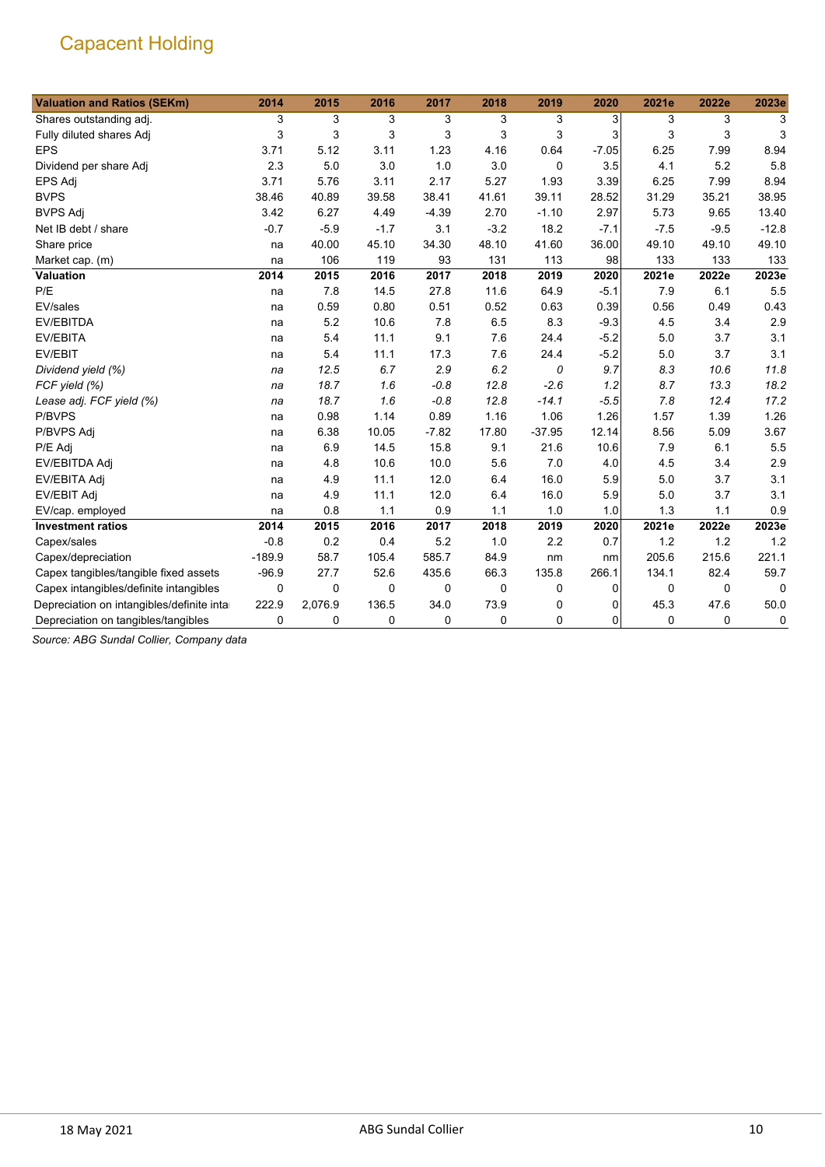| <b>Valuation and Ratios (SEKm)</b>         | 2014     | 2015    | 2016        | 2017    | 2018        | 2019     | 2020    | 2021e  | 2022e       | 2023e   |
|--------------------------------------------|----------|---------|-------------|---------|-------------|----------|---------|--------|-------------|---------|
| Shares outstanding adj.                    | 3        | 3       | 3           | 3       | 3           | 3        | 3       | 3      | 3           | 3       |
| Fully diluted shares Adj                   | 3        | 3       | 3           | 3       | 3           | 3        | 3       | 3      | 3           | 3       |
| <b>EPS</b>                                 | 3.71     | 5.12    | 3.11        | 1.23    | 4.16        | 0.64     | $-7.05$ | 6.25   | 7.99        | 8.94    |
| Dividend per share Adj                     | 2.3      | 5.0     | 3.0         | 1.0     | 3.0         | 0        | 3.5     | 4.1    | 5.2         | 5.8     |
| EPS Adj                                    | 3.71     | 5.76    | 3.11        | 2.17    | 5.27        | 1.93     | 3.39    | 6.25   | 7.99        | 8.94    |
| <b>BVPS</b>                                | 38.46    | 40.89   | 39.58       | 38.41   | 41.61       | 39.11    | 28.52   | 31.29  | 35.21       | 38.95   |
| <b>BVPS Adj</b>                            | 3.42     | 6.27    | 4.49        | $-4.39$ | 2.70        | $-1.10$  | 2.97    | 5.73   | 9.65        | 13.40   |
| Net IB debt / share                        | $-0.7$   | $-5.9$  | $-1.7$      | 3.1     | $-3.2$      | 18.2     | $-7.1$  | $-7.5$ | $-9.5$      | $-12.8$ |
| Share price                                | na       | 40.00   | 45.10       | 34.30   | 48.10       | 41.60    | 36.00   | 49.10  | 49.10       | 49.10   |
| Market cap. (m)                            | na       | 106     | 119         | 93      | 131         | 113      | 98      | 133    | 133         | 133     |
| Valuation                                  | 2014     | 2015    | 2016        | 2017    | 2018        | 2019     | 2020    | 2021e  | 2022e       | 2023e   |
| P/E                                        | na       | 7.8     | 14.5        | 27.8    | 11.6        | 64.9     | $-5.1$  | 7.9    | 6.1         | 5.5     |
| EV/sales                                   | na       | 0.59    | 0.80        | 0.51    | 0.52        | 0.63     | 0.39    | 0.56   | 0.49        | 0.43    |
| <b>EV/EBITDA</b>                           | na       | 5.2     | 10.6        | 7.8     | 6.5         | 8.3      | $-9.3$  | 4.5    | 3.4         | 2.9     |
| EV/EBITA                                   | na       | 5.4     | 11.1        | 9.1     | 7.6         | 24.4     | $-5.2$  | 5.0    | 3.7         | 3.1     |
| EV/EBIT                                    | na       | 5.4     | 11.1        | 17.3    | 7.6         | 24.4     | $-5.2$  | 5.0    | 3.7         | 3.1     |
| Dividend yield (%)                         | na       | 12.5    | 6.7         | 2.9     | 6.2         | 0        | 9.7     | 8.3    | 10.6        | 11.8    |
| FCF yield (%)                              | na       | 18.7    | 1.6         | $-0.8$  | 12.8        | $-2.6$   | 1.2     | 8.7    | 13.3        | 18.2    |
| Lease adj. FCF yield (%)                   | na       | 18.7    | 1.6         | $-0.8$  | 12.8        | $-14.1$  | $-5.5$  | 7.8    | 12.4        | 17.2    |
| P/BVPS                                     | na       | 0.98    | 1.14        | 0.89    | 1.16        | 1.06     | 1.26    | 1.57   | 1.39        | 1.26    |
| P/BVPS Adj                                 | na       | 6.38    | 10.05       | $-7.82$ | 17.80       | $-37.95$ | 12.14   | 8.56   | 5.09        | 3.67    |
| P/E Adj                                    | na       | 6.9     | 14.5        | 15.8    | 9.1         | 21.6     | 10.6    | 7.9    | 6.1         | 5.5     |
| EV/EBITDA Adj                              | na       | 4.8     | 10.6        | 10.0    | 5.6         | 7.0      | 4.0     | 4.5    | 3.4         | 2.9     |
| EV/EBITA Adj                               | na       | 4.9     | 11.1        | 12.0    | 6.4         | 16.0     | 5.9     | 5.0    | 3.7         | 3.1     |
| <b>EV/EBIT Adj</b>                         | na       | 4.9     | 11.1        | 12.0    | 6.4         | 16.0     | 5.9     | 5.0    | 3.7         | 3.1     |
| EV/cap. employed                           | na       | 0.8     | 1.1         | 0.9     | 1.1         | 1.0      | 1.0     | 1.3    | 1.1         | 0.9     |
| <b>Investment ratios</b>                   | 2014     | 2015    | 2016        | 2017    | 2018        | 2019     | 2020    | 2021e  | 2022e       | 2023e   |
| Capex/sales                                | $-0.8$   | 0.2     | 0.4         | 5.2     | 1.0         | 2.2      | 0.7     | 1.2    | 1.2         | 1.2     |
| Capex/depreciation                         | $-189.9$ | 58.7    | 105.4       | 585.7   | 84.9        | nm       | nm      | 205.6  | 215.6       | 221.1   |
| Capex tangibles/tangible fixed assets      | $-96.9$  | 27.7    | 52.6        | 435.6   | 66.3        | 135.8    | 266.1   | 134.1  | 82.4        | 59.7    |
| Capex intangibles/definite intangibles     | 0        | 0       | $\Omega$    | 0       | $\mathbf 0$ | 0        | 0       | 0      | $\mathbf 0$ | 0       |
| Depreciation on intangibles/definite intar | 222.9    | 2,076.9 | 136.5       | 34.0    | 73.9        | 0        | 0       | 45.3   | 47.6        | 50.0    |
| Depreciation on tangibles/tangibles        | 0        | 0       | $\mathbf 0$ | 0       | 0           | 0        | 0       | 0      | 0           | 0       |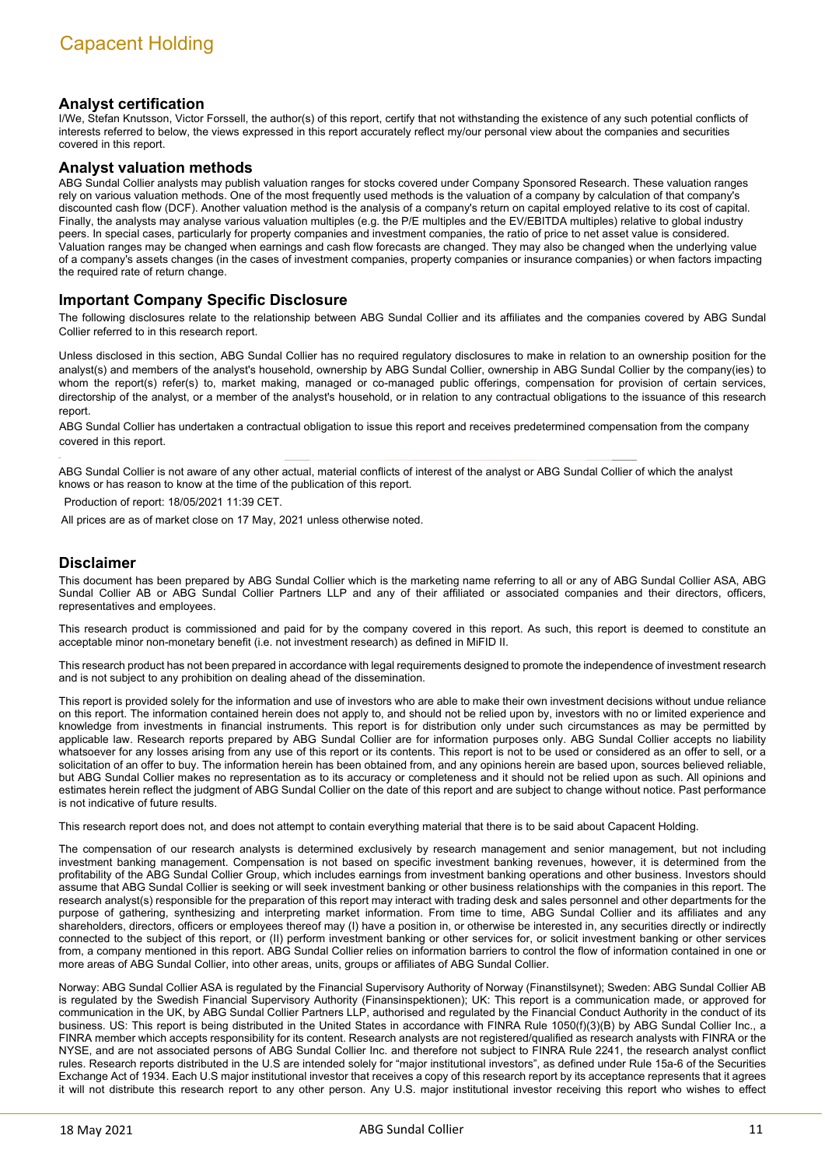### **Analyst certification**

I/We, Stefan Knutsson, Victor Forssell, the author(s) of this report, certify that not withstanding the existence of any such potential conflicts of interests referred to below, the views expressed in this report accurately reflect my/our personal view about the companies and securities covered in this report.

#### **Analyst valuation methods**

ABG Sundal Collier analysts may publish valuation ranges for stocks covered under Company Sponsored Research. These valuation ranges rely on various valuation methods. One of the most frequently used methods is the valuation of a company by calculation of that company's discounted cash flow (DCF). Another valuation method is the analysis of a company's return on capital employed relative to its cost of capital. Finally, the analysts may analyse various valuation multiples (e.g. the P/E multiples and the EV/EBITDA multiples) relative to global industry peers. In special cases, particularly for property companies and investment companies, the ratio of price to net asset value is considered. Valuation ranges may be changed when earnings and cash flow forecasts are changed. They may also be changed when the underlying value of a company's assets changes (in the cases of investment companies, property companies or insurance companies) or when factors impacting the required rate of return change.

### **Important Company Specific Disclosure**

The following disclosures relate to the relationship between ABG Sundal Collier and its affiliates and the companies covered by ABG Sundal Collier referred to in this research report.

Unless disclosed in this section, ABG Sundal Collier has no required regulatory disclosures to make in relation to an ownership position for the analyst(s) and members of the analyst's household, ownership by ABG Sundal Collier, ownership in ABG Sundal Collier by the company(ies) to whom the report(s) refer(s) to, market making, managed or co-managed public offerings, compensation for provision of certain services, directorship of the analyst, or a member of the analyst's household, or in relation to any contractual obligations to the issuance of this research report.

ABG Sundal Collier has undertaken a contractual obligation to issue this report and receives predetermined compensation from the company covered in this report.

ABG Sundal Collier is not aware of any other actual, material conflicts of interest of the analyst or ABG Sundal Collier of which the analyst knows or has reason to know at the time of the publication of this report.

Production of report: 18/05/2021 11:39 CET.

All prices are as of market close on 17 May, 2021 unless otherwise noted.

#### **Disclaimer**

This document has been prepared by ABG Sundal Collier which is the marketing name referring to all or any of ABG Sundal Collier ASA, ABG Sundal Collier AB or ABG Sundal Collier Partners LLP and any of their affiliated or associated companies and their directors, officers, representatives and employees.

This research product is commissioned and paid for by the company covered in this report. As such, this report is deemed to constitute an acceptable minor non-monetary benefit (i.e. not investment research) as defined in MiFID II.

This research product has not been prepared in accordance with legal requirements designed to promote the independence of investment research and is not subject to any prohibition on dealing ahead of the dissemination.

This report is provided solely for the information and use of investors who are able to make their own investment decisions without undue reliance on this report. The information contained herein does not apply to, and should not be relied upon by, investors with no or limited experience and knowledge from investments in financial instruments. This report is for distribution only under such circumstances as may be permitted by applicable law. Research reports prepared by ABG Sundal Collier are for information purposes only. ABG Sundal Collier accepts no liability whatsoever for any losses arising from any use of this report or its contents. This report is not to be used or considered as an offer to sell, or a solicitation of an offer to buy. The information herein has been obtained from, and any opinions herein are based upon, sources believed reliable, but ABG Sundal Collier makes no representation as to its accuracy or completeness and it should not be relied upon as such. All opinions and estimates herein reflect the judgment of ABG Sundal Collier on the date of this report and are subject to change without notice. Past performance is not indicative of future results.

This research report does not, and does not attempt to contain everything material that there is to be said about Capacent Holding.

The compensation of our research analysts is determined exclusively by research management and senior management, but not including investment banking management. Compensation is not based on specific investment banking revenues, however, it is determined from the profitability of the ABG Sundal Collier Group, which includes earnings from investment banking operations and other business. Investors should assume that ABG Sundal Collier is seeking or will seek investment banking or other business relationships with the companies in this report. The research analyst(s) responsible for the preparation of this report may interact with trading desk and sales personnel and other departments for the purpose of gathering, synthesizing and interpreting market information. From time to time, ABG Sundal Collier and its affiliates and any shareholders, directors, officers or employees thereof may (I) have a position in, or otherwise be interested in, any securities directly or indirectly connected to the subject of this report, or (II) perform investment banking or other services for, or solicit investment banking or other services from, a company mentioned in this report. ABG Sundal Collier relies on information barriers to control the flow of information contained in one or more areas of ABG Sundal Collier, into other areas, units, groups or affiliates of ABG Sundal Collier.

Norway: ABG Sundal Collier ASA is regulated by the Financial Supervisory Authority of Norway (Finanstilsynet); Sweden: ABG Sundal Collier AB is regulated by the Swedish Financial Supervisory Authority (Finansinspektionen); UK: This report is a communication made, or approved for communication in the UK, by ABG Sundal Collier Partners LLP, authorised and regulated by the Financial Conduct Authority in the conduct of its business. US: This report is being distributed in the United States in accordance with FINRA Rule 1050(f)(3)(B) by ABG Sundal Collier Inc., a FINRA member which accepts responsibility for its content. Research analysts are not registered/qualified as research analysts with FINRA or the NYSE, and are not associated persons of ABG Sundal Collier Inc. and therefore not subject to FINRA Rule 2241, the research analyst conflict rules. Research reports distributed in the U.S are intended solely for "major institutional investors", as defined under Rule 15a-6 of the Securities Exchange Act of 1934. Each U.S major institutional investor that receives a copy of this research report by its acceptance represents that it agrees it will not distribute this research report to any other person. Any U.S. major institutional investor receiving this report who wishes to effect